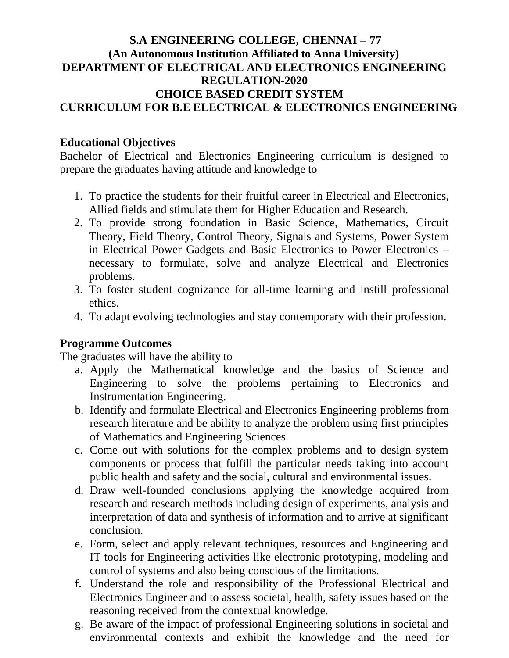# **S.A ENGINEERING COLLEGE, CHENNAI – 77 (An Autonomous Institution Affiliated to Anna University) DEPARTMENT OF ELECTRICAL AND ELECTRONICS ENGINEERING REGULATION-2020 CHOICE BASED CREDIT SYSTEM CURRICULUM FOR B.E ELECTRICAL & ELECTRONICS ENGINEERING**

# **Educational Objectives**

Bachelor of Electrical and Electronics Engineering curriculum is designed to prepare the graduates having attitude and knowledge to

- 1. To practice the students for their fruitful career in Electrical and Electronics, Allied fields and stimulate them for Higher Education and Research.
- 2. To provide strong foundation in Basic Science, Mathematics, Circuit Theory, Field Theory, Control Theory, Signals and Systems, Power System in Electrical Power Gadgets and Basic Electronics to Power Electronics – necessary to formulate, solve and analyze Electrical and Electronics problems.
- 3. To foster student cognizance for all-time learning and instill professional ethics.
- 4. To adapt evolving technologies and stay contemporary with their profession.

# **Programme Outcomes**

The graduates will have the ability to

- a. Apply the Mathematical knowledge and the basics of Science and Engineering to solve the problems pertaining to Electronics and Instrumentation Engineering.
- b. Identify and formulate Electrical and Electronics Engineering problems from research literature and be ability to analyze the problem using first principles of Mathematics and Engineering Sciences.
- c. Come out with solutions for the complex problems and to design system components or process that fulfill the particular needs taking into account public health and safety and the social, cultural and environmental issues.
- d. Draw well-founded conclusions applying the knowledge acquired from research and research methods including design of experiments, analysis and interpretation of data and synthesis of information and to arrive at significant conclusion.
- e. Form, select and apply relevant techniques, resources and Engineering and IT tools for Engineering activities like electronic prototyping, modeling and control of systems and also being conscious of the limitations.
- f. Understand the role and responsibility of the Professional Electrical and Electronics Engineer and to assess societal, health, safety issues based on the reasoning received from the contextual knowledge.
- g. Be aware of the impact of professional Engineering solutions in societal and environmental contexts and exhibit the knowledge and the need for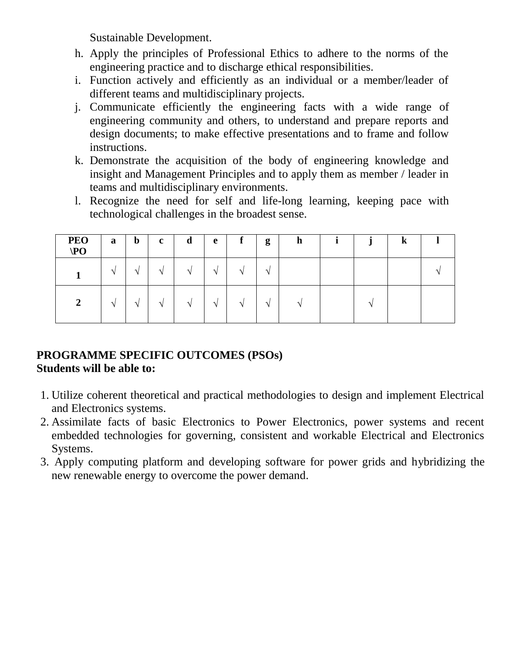Sustainable Development.

- h. Apply the principles of Professional Ethics to adhere to the norms of the engineering practice and to discharge ethical responsibilities.
- i. Function actively and efficiently as an individual or a member/leader of different teams and multidisciplinary projects.
- j. Communicate efficiently the engineering facts with a wide range of engineering community and others, to understand and prepare reports and design documents; to make effective presentations and to frame and follow instructions.
- k. Demonstrate the acquisition of the body of engineering knowledge and insight and Management Principles and to apply them as member / leader in teams and multidisciplinary environments.
- l. Recognize the need for self and life-long learning, keeping pace with technological challenges in the broadest sense.

| PEO<br>$\angle$ PO | a        | $\mathbf b$   | $\mathbf c$   | d             | e        | f             | g             | $\mathbf n$              | $\bullet$ | K |  |
|--------------------|----------|---------------|---------------|---------------|----------|---------------|---------------|--------------------------|-----------|---|--|
|                    | $\Delta$ | $\mathcal{N}$ | $\mathcal{N}$ | $\mathcal{N}$ | ٦Ι       | $\mathcal{N}$ | $\mathcal{L}$ |                          |           |   |  |
| $\gamma$<br>▵      | $\Delta$ | $\mathcal{N}$ | $\mathbf{v}$  | $\mathcal{N}$ | $\Delta$ | $\mathcal{N}$ | $\Delta$      | $\overline{\phantom{a}}$ | ٠         |   |  |

# **PROGRAMME SPECIFIC OUTCOMES (PSOs) Students will be able to:**

- 1. Utilize coherent theoretical and practical methodologies to design and implement Electrical and Electronics systems.
- 2. Assimilate facts of basic Electronics to Power Electronics, power systems and recent embedded technologies for governing, consistent and workable Electrical and Electronics Systems.
- 3. Apply computing platform and developing software for power grids and hybridizing the new renewable energy to overcome the power demand.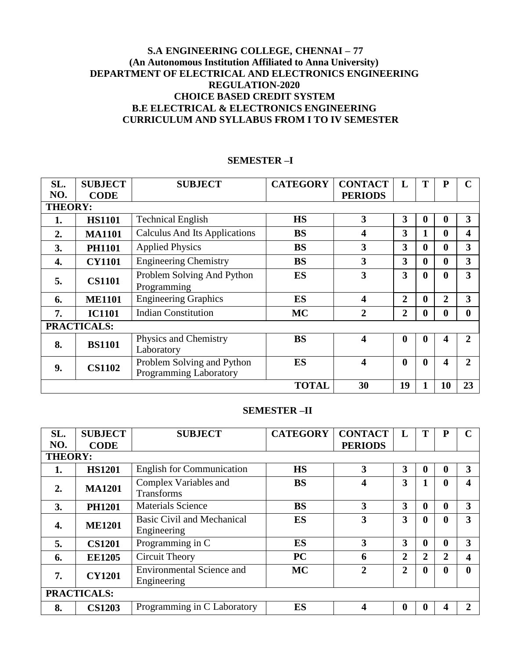# **S.A ENGINEERING COLLEGE, CHENNAI – 77 (An Autonomous Institution Affiliated to Anna University) DEPARTMENT OF ELECTRICAL AND ELECTRONICS ENGINEERING REGULATION-2020 CHOICE BASED CREDIT SYSTEM B.E ELECTRICAL & ELECTRONICS ENGINEERING CURRICULUM AND SYLLABUS FROM I TO IV SEMESTER**

| SL.<br>NO.     | <b>SUBJECT</b><br><b>CODE</b> | <b>SUBJECT</b>                                       | <b>CATEGORY</b> | <b>CONTACT</b><br><b>PERIODS</b> | L                       | T                | P              | C                |
|----------------|-------------------------------|------------------------------------------------------|-----------------|----------------------------------|-------------------------|------------------|----------------|------------------|
| <b>THEORY:</b> |                               |                                                      |                 |                                  |                         |                  |                |                  |
| 1.             | <b>HS1101</b>                 | <b>Technical English</b>                             | <b>HS</b>       | 3                                | 3                       | $\boldsymbol{0}$ | $\bf{0}$       | 3                |
| 2.             | <b>MA1101</b>                 | <b>Calculus And Its Applications</b>                 | <b>BS</b>       | 4                                | 3                       | 1                | $\bf{0}$       | $\boldsymbol{4}$ |
| 3.             | <b>PH1101</b>                 | <b>Applied Physics</b>                               | <b>BS</b>       | 3                                | $\overline{\mathbf{3}}$ | $\mathbf{0}$     | $\bf{0}$       | 3                |
| 4.             | <b>CY1101</b>                 | <b>Engineering Chemistry</b>                         | <b>BS</b>       | 3                                | 3                       | $\mathbf{0}$     | $\mathbf{0}$   | 3                |
| 5.             | <b>CS1101</b>                 | Problem Solving And Python<br>Programming            | <b>ES</b>       | 3                                | 3                       | $\mathbf{0}$     | $\mathbf{0}$   | 3                |
| 6.             | <b>ME1101</b>                 | <b>Engineering Graphics</b>                          | <b>ES</b>       | 4                                | $\overline{2}$          | $\mathbf 0$      | $\overline{2}$ | 3                |
| 7.             | <b>IC1101</b>                 | <b>Indian Constitution</b>                           | <b>MC</b>       | $\overline{2}$                   | $\overline{2}$          | $\boldsymbol{0}$ | $\mathbf{0}$   | $\boldsymbol{0}$ |
|                | <b>PRACTICALS:</b>            |                                                      |                 |                                  |                         |                  |                |                  |
| 8.             | <b>BS1101</b>                 | Physics and Chemistry<br>Laboratory                  | <b>BS</b>       | 4                                | $\mathbf 0$             | $\mathbf 0$      | 4              | $\mathbf{2}$     |
| 9.             | <b>CS1102</b>                 | Problem Solving and Python<br>Programming Laboratory | ES              | $\overline{\mathbf{4}}$          | $\mathbf{0}$            | $\mathbf{0}$     | 4              | $\overline{2}$   |
|                |                               |                                                      | <b>TOTAL</b>    | 30                               | 19                      |                  | 10             | 23               |

### **SEMESTER –I**

#### **SEMESTER –II**

| SL.              | <b>SUBJECT</b>     | <b>SUBJECT</b>                                    | <b>CATEGORY</b> | <b>CONTACT</b>          | L                       | T                | P        |                       |
|------------------|--------------------|---------------------------------------------------|-----------------|-------------------------|-------------------------|------------------|----------|-----------------------|
| NO.              | <b>CODE</b>        |                                                   |                 | <b>PERIODS</b>          |                         |                  |          |                       |
| <b>THEORY:</b>   |                    |                                                   |                 |                         |                         |                  |          |                       |
| 1.               | <b>HS1201</b>      | <b>English for Communication</b>                  | <b>HS</b>       | $\overline{\mathbf{3}}$ | 3                       | 0                |          | 3                     |
| $\overline{2}$ . | <b>MA1201</b>      | <b>Complex Variables and</b><br><b>Transforms</b> | <b>BS</b>       | 4                       | 3                       |                  | 0        | 4                     |
| 3.               | <b>PH1201</b>      | <b>Materials Science</b>                          | <b>BS</b>       | 3                       | 3                       | $\boldsymbol{0}$ | $\bf{0}$ | 3                     |
| 4.               | <b>ME1201</b>      | Basic Civil and Mechanical<br>Engineering         | <b>ES</b>       | 3                       | $\overline{\mathbf{3}}$ | 0                |          | 3                     |
| 5.               | <b>CS1201</b>      | Programming in C                                  | <b>ES</b>       | 3                       | 3                       | $\boldsymbol{0}$ | 0        | 3                     |
| 6.               | <b>EE1205</b>      | Circuit Theory                                    | <b>PC</b>       | 6                       | $\overline{2}$          | $\overline{2}$   | 2        | 4                     |
| 7.               | <b>CY1201</b>      | <b>Environmental Science and</b><br>Engineering   | <b>MC</b>       | $\overline{2}$          | $\overline{2}$          | 0                |          | $\mathbf{0}$          |
|                  | <b>PRACTICALS:</b> |                                                   |                 |                         |                         |                  |          |                       |
| 8.               | <b>CS1203</b>      | Programming in C Laboratory                       | ES              |                         | 0                       | 0                |          | $\mathcal{D}_{\cdot}$ |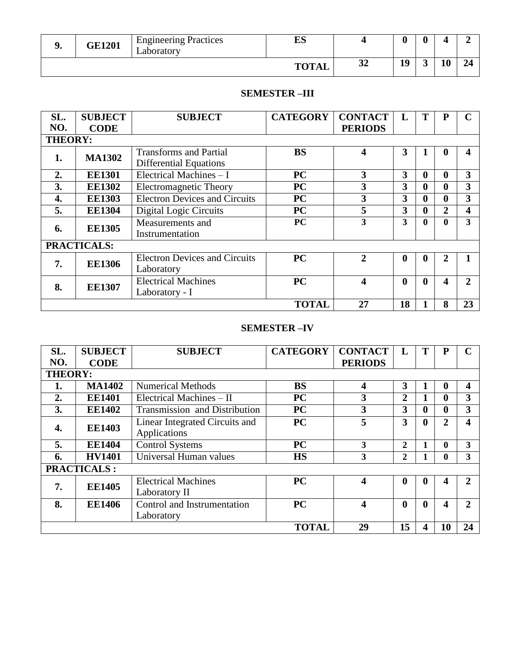| <b>GE1201</b> | <b>Engineering Practices</b><br>Laboratory | ES           |           | u  |    |  |
|---------------|--------------------------------------------|--------------|-----------|----|----|--|
|               |                                            | <b>TOTAL</b> | n A<br>⊿ت | 19 | 11 |  |

# **SEMESTER –III**

| SL.            | <b>SUBJECT</b>     | <b>SUBJECT</b>                       | <b>CATEGORY</b> | <b>CONTACT</b> |                  | T                | P |              |
|----------------|--------------------|--------------------------------------|-----------------|----------------|------------------|------------------|---|--------------|
| NO.            | <b>CODE</b>        |                                      |                 | <b>PERIODS</b> |                  |                  |   |              |
| <b>THEORY:</b> |                    |                                      |                 |                |                  |                  |   |              |
| 1.             | <b>MA1302</b>      | <b>Transforms and Partial</b>        | <b>BS</b>       | 4              | 3                |                  |   | 4            |
|                |                    | <b>Differential Equations</b>        |                 |                |                  |                  |   |              |
| 2.             | <b>EE1301</b>      | Electrical Machines $-1$             | <b>PC</b>       | 3              | 3                | 0                | 0 | 3            |
| 3.             | <b>EE1302</b>      | Electromagnetic Theory               | <b>PC</b>       | 3              | 3                | 0                | 0 | 3            |
| 4.             | <b>EE1303</b>      | <b>Electron Devices and Circuits</b> | <b>PC</b>       | 3              | 3                | $\bf{0}$         |   | 3            |
| 5.             | <b>EE1304</b>      | Digital Logic Circuits               | <b>PC</b>       | 5              | 3                | $\boldsymbol{0}$ | 2 | 4            |
| 6.             | <b>EE1305</b>      | Measurements and                     | PC              | 3              | 3                | $\mathbf{0}$     | 0 | 3            |
|                |                    | Instrumentation                      |                 |                |                  |                  |   |              |
|                | <b>PRACTICALS:</b> |                                      |                 |                |                  |                  |   |              |
| 7.             | <b>EE1306</b>      | <b>Electron Devices and Circuits</b> | <b>PC</b>       | $\mathbf{2}$   | $\boldsymbol{0}$ | $\boldsymbol{0}$ | 2 |              |
|                |                    | Laboratory                           |                 |                |                  |                  |   |              |
|                |                    | <b>Electrical Machines</b>           | <b>PC</b>       |                | $\boldsymbol{0}$ | $\bf{0}$         |   | $\mathbf{2}$ |
| 8.             | <b>EE1307</b>      | Laboratory - I                       |                 |                |                  |                  |   |              |
|                |                    |                                      | <b>TOTAL</b>    | 27             | 18               |                  | 8 | 23           |

# **SEMESTER –IV**

| SL.            | <b>SUBJECT</b>      | <b>SUBJECT</b>                 | <b>CATEGORY</b> | <b>CONTACT</b> | $\mathbf{L}$     | T            | P            | C              |
|----------------|---------------------|--------------------------------|-----------------|----------------|------------------|--------------|--------------|----------------|
| NO.            | <b>CODE</b>         |                                |                 | <b>PERIODS</b> |                  |              |              |                |
| <b>THEORY:</b> |                     |                                |                 |                |                  |              |              |                |
| 1.             | <b>MA1402</b>       | <b>Numerical Methods</b>       | <b>BS</b>       | 4              | 3                |              | 0            | 4              |
| 2.             | <b>EE1401</b>       | Electrical Machines - II       | PC              | 3              | 2                |              | 0            | 3              |
| 3.             | <b>EE1402</b>       | Transmission and Distribution  | <b>PC</b>       | 3              | 3                | 0            | $\mathbf{0}$ | 3              |
|                | <b>EE1403</b><br>4. | Linear Integrated Circuits and | <b>PC</b>       | 5              | 3                | $\mathbf{0}$ | 2            | 4              |
|                |                     | Applications                   |                 |                |                  |              |              |                |
| 5.             | <b>EE1404</b>       | <b>Control Systems</b>         | <b>PC</b>       | 3              | 2                |              | 0            | 3              |
| 6.             | <b>HV1401</b>       | Universal Human values         | <b>HS</b>       | 3              | 2                |              | $\mathbf{0}$ | 3              |
|                | <b>PRACTICALS:</b>  |                                |                 |                |                  |              |              |                |
| 7.             | <b>EE1405</b>       | <b>Electrical Machines</b>     | <b>PC</b>       |                | $\boldsymbol{0}$ | $\mathbf{0}$ | 4            | 2              |
|                |                     | Laboratory II                  |                 |                |                  |              |              |                |
| 8.             | <b>EE1406</b>       | Control and Instrumentation    | PC              | 4              | $\boldsymbol{0}$ | $\mathbf{0}$ | 4            | $\overline{2}$ |
|                |                     | Laboratory                     |                 |                |                  |              |              |                |
|                |                     |                                | <b>TOTAL</b>    | 29             | 15               | 4            | 10           | 24             |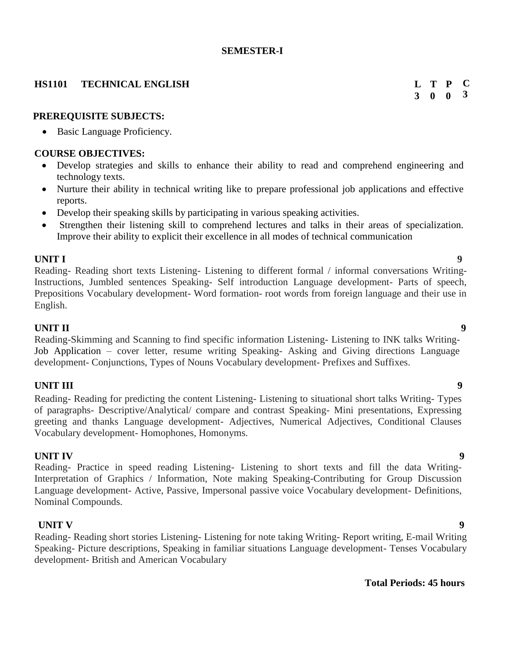### **SEMESTER-I**

# **HS1101 TECHNICAL ENGLISH**

### **PREREQUISITE SUBJECTS:**

• Basic Language Proficiency.

#### **COURSE OBJECTIVES:**

- Develop strategies and skills to enhance their ability to read and comprehend engineering and technology texts.
- Nurture their ability in technical writing like to prepare professional job applications and effective reports.
- Develop their speaking skills by participating in various speaking activities.
- Strengthen their listening skill to comprehend lectures and talks in their areas of specialization. Improve their ability to explicit their excellence in all modes of technical communication

#### **UNIT I 9**

Reading- Reading short texts Listening- Listening to different formal / informal conversations Writing-Instructions, Jumbled sentences Speaking- Self introduction Language development- Parts of speech, Prepositions Vocabulary development- Word formation- root words from foreign language and their use in English.

#### **UNIT II** 9

Reading-Skimming and Scanning to find specific information Listening- Listening to INK talks Writing-Job Application – cover letter, resume writing Speaking- Asking and Giving directions Language development- Conjunctions, Types of Nouns Vocabulary development- Prefixes and Suffixes.

### **UNIT III** 9

Reading- Reading for predicting the content Listening- Listening to situational short talks Writing- Types of paragraphs- Descriptive/Analytical/ compare and contrast Speaking- Mini presentations, Expressing greeting and thanks Language development- Adjectives, Numerical Adjectives, Conditional Clauses Vocabulary development- Homophones, Homonyms.

#### **UNIT IV** 9

Reading- Practice in speed reading Listening- Listening to short texts and fill the data Writing-Interpretation of Graphics / Information, Note making Speaking-Contributing for Group Discussion Language development- Active, Passive, Impersonal passive voice Vocabulary development- Definitions, Nominal Compounds.

#### **UNIT V** 9

Reading- Reading short stories Listening- Listening for note taking Writing- Report writing, E-mail Writing Speaking- Picture descriptions, Speaking in familiar situations Language development- Tenses Vocabulary development- British and American Vocabulary

### **Total Periods: 45 hours**

**3 0 0 T P** **C 3**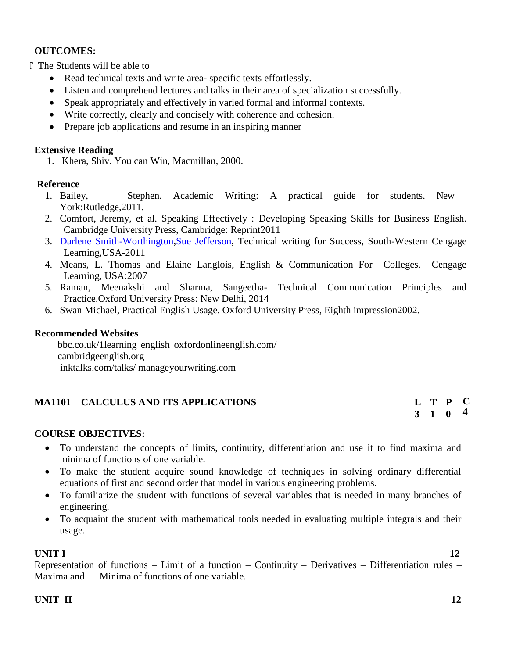# **OUTCOMES:**

 $\Gamma$  The Students will be able to

- Read technical texts and write area- specific texts effortlessly.
- Listen and comprehend lectures and talks in their area of specialization successfully.
- Speak appropriately and effectively in varied formal and informal contexts.
- Write correctly, clearly and concisely with coherence and cohesion.
- Prepare job applications and resume in an inspiring manner

## **Extensive Reading**

1. Khera, Shiv. You can Win, Macmillan, 2000.

## **Reference**

- 1. Bailey, Stephen. Academic Writing: A practical guide for students. New York:Rutledge,2011.
- 2. Comfort, Jeremy, et al. Speaking Effectively : Developing Speaking Skills for Business English. Cambridge University Press, Cambridge: Reprint2011
- 3. [Darlene Smith-Worthington,](https://www.amazon.in/s/ref%3Drdr_ext_aut?_encoding=UTF8&index=books&field-author=Darlene%20Smith-Worthington)[Sue Jefferson,](https://www.amazon.in/s/ref%3Drdr_ext_aut?_encoding=UTF8&index=books&field-author=Sue%20Jefferson) Technical writing for Success, South-Western Cengage Learning,USA-2011
- 4. Means, L. Thomas and Elaine Langlois, English & Communication For Colleges. Cengage Learning, USA:2007
- 5. Raman, Meenakshi and Sharma, Sangeetha- Technical Communication Principles and Practice.Oxford University Press: New Delhi, 2014
- 6. Swan Michael, Practical English Usage. Oxford University Press, Eighth impression2002.

### **Recommended Websites**

bbc.co.uk/1learning english oxfordonlineenglish.com/ cambridgeenglish.org inktalks.com/talks/ manageyourwriting.com

# **MA1101 CALCULUS AND ITS APPLICATIONS**

#### **3 1 T P 0 C 4**

# **COURSE OBJECTIVES:**

- To understand the concepts of limits, continuity, differentiation and use it to find maxima and minima of functions of one variable.
- To make the student acquire sound knowledge of techniques in solving ordinary differential equations of first and second order that model in various engineering problems.
- To familiarize the student with functions of several variables that is needed in many branches of engineering.
- To acquaint the student with mathematical tools needed in evaluating multiple integrals and their usage.

# **UNIT I** 12

Representation of functions – Limit of a function – Continuity – Derivatives – Differentiation rules – Maxima and Minima of functions of one variable.

# **UNIT II** 12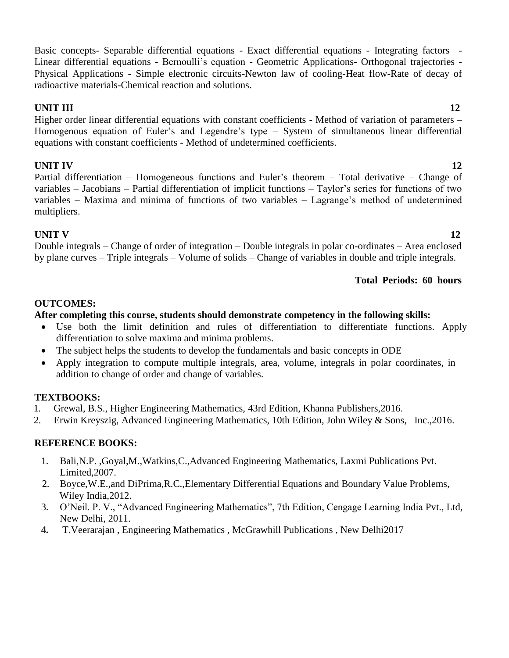Basic concepts- Separable differential equations - Exact differential equations - Integrating factors - Linear differential equations - Bernoulli's equation - Geometric Applications- Orthogonal trajectories - Physical Applications - Simple electronic circuits-Newton law of cooling-Heat flow-Rate of decay of radioactive materials-Chemical reaction and solutions.

# **UNIT III** 12

Higher order linear differential equations with constant coefficients - Method of variation of parameters – Homogenous equation of Euler's and Legendre's type – System of simultaneous linear differential equations with constant coefficients - Method of undetermined coefficients.

# **UNIT IV** 12

Partial differentiation – Homogeneous functions and Euler's theorem – Total derivative – Change of variables – Jacobians – Partial differentiation of implicit functions – Taylor's series for functions of two variables – Maxima and minima of functions of two variables – Lagrange's method of undetermined multipliers.

# **UNIT V** 12

Double integrals – Change of order of integration – Double integrals in polar co-ordinates – Area enclosed by plane curves – Triple integrals – Volume of solids – Change of variables in double and triple integrals.

# **Total Periods: 60 hours**

# **OUTCOMES:**

# **After completing this course, students should demonstrate competency in the following skills:**

- Use both the limit definition and rules of differentiation to differentiate functions. Apply differentiation to solve maxima and minima problems.
- The subject helps the students to develop the fundamentals and basic concepts in ODE
- Apply integration to compute multiple integrals, area, volume, integrals in polar coordinates, in addition to change of order and change of variables.

# **TEXTBOOKS:**

- 1. Grewal, B.S., Higher Engineering Mathematics, 43rd Edition, Khanna Publishers,2016.
- 2. Erwin Kreyszig, Advanced Engineering Mathematics, 10th Edition, John Wiley & Sons, Inc.,2016.

# **REFERENCE BOOKS:**

- 1. Bali,N.P. ,Goyal,M.,Watkins,C.,Advanced Engineering Mathematics, Laxmi Publications Pvt. Limited,2007.
- 2. Boyce,W.E.,and DiPrima,R.C.,Elementary Differential Equations and Boundary Value Problems, Wiley India,2012.
- 3. O'Neil. P. V., "Advanced Engineering Mathematics", 7th Edition, Cengage Learning India Pvt., Ltd, New Delhi, 2011.
- **4.** T.Veerarajan , Engineering Mathematics , McGrawhill Publications , New Delhi2017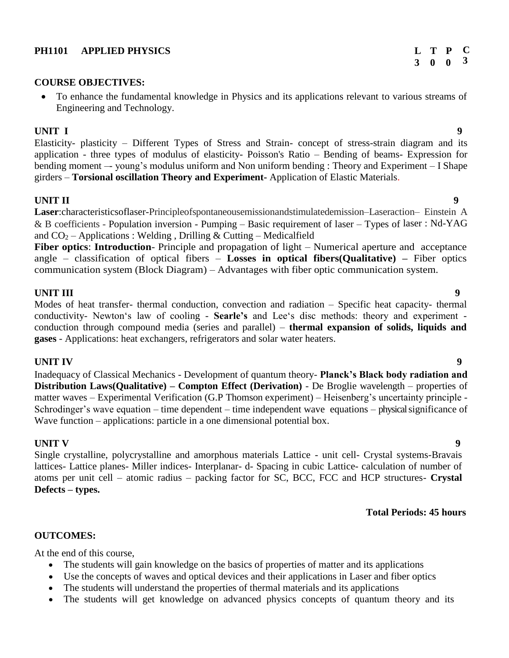### **PH1101 APPLIED PHYSICS**

# **COURSE OBJECTIVES:**

 To enhance the fundamental knowledge in Physics and its applications relevant to various streams of Engineering and Technology.

### **UNIT I** 9

Elasticity- plasticity – Different Types of Stress and Strain- concept of stress-strain diagram and its application - three types of modulus of elasticity- Poisson's Ratio – Bending of beams- Expression for bending moment –- young's modulus uniform and Non uniform bending : Theory and Experiment – I Shape girders – **Torsional oscillation Theory and Experiment-** Application of Elastic Materials.

## **UNIT II** 9

**Laser**:characteristicsoflaser-Principleofspontaneousemissionandstimulatedemission–Laseraction– Einstein A & B coefficients - Population inversion - Pumping – Basic requirement of laser – Types of laser : Nd-YAG and  $CO_2$  – Applications : Welding, Drilling & Cutting – Medicalfield

**Fiber optics**: **Introduction**- Principle and propagation of light – Numerical aperture and acceptance angle – classification of optical fibers – **Losses in optical fibers(Qualitative) –** Fiber optics communication system (Block Diagram) – Advantages with fiber optic communication system.

# **UNIT III** 9

Modes of heat transfer- thermal conduction, convection and radiation – Specific heat capacity- thermal conductivity- Newton's law of cooling - **Searle's** and Lee's disc methods: theory and experiment conduction through compound media (series and parallel) – **thermal expansion of solids, liquids and gases** - Applications: heat exchangers, refrigerators and solar water heaters.

# **UNIT IV** 9

Inadequacy of Classical Mechanics - Development of quantum theory- **Planck's Black body radiation and Distribution Laws(Qualitative) – Compton Effect (Derivation)** - De Broglie wavelength – properties of matter waves – Experimental Verification (G.P Thomson experiment) – Heisenberg's uncertainty principle - Schrodinger's wave equation – time dependent – time independent wave equations – physical significance of Wave function – applications: particle in a one dimensional potential box.

### **UNIT V** 9

Single crystalline, polycrystalline and amorphous materials Lattice - unit cell- Crystal systems-Bravais lattices- Lattice planes- Miller indices- Interplanar- d- Spacing in cubic Lattice- calculation of number of atoms per unit cell – atomic radius – packing factor for SC, BCC, FCC and HCP structures- **Crystal Defects – types.**

### **Total Periods: 45 hours**

### **OUTCOMES:**

At the end of this course,

- The students will gain knowledge on the basics of properties of matter and its applications
- Use the concepts of waves and optical devices and their applications in Laser and fiber optics
- The students will understand the properties of thermal materials and its applications
- The students will get knowledge on advanced physics concepts of quantum theory and its

#### **3 0 0 T P C 3**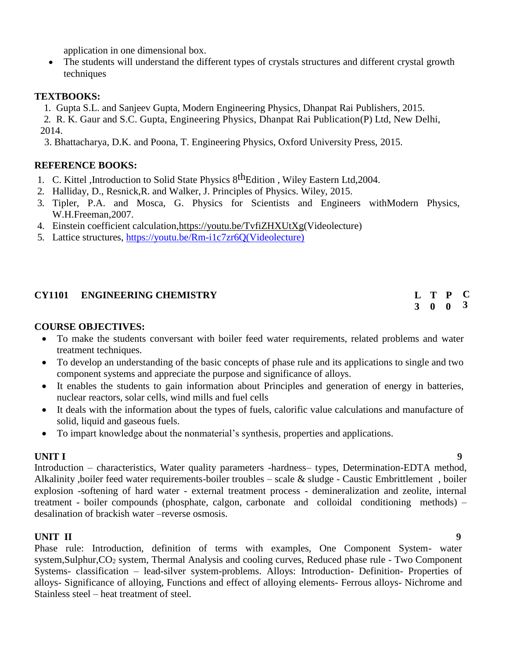application in one dimensional box.

 The students will understand the different types of crystals structures and different crystal growth techniques

# **TEXTBOOKS:**

1. Gupta S.L. and Sanjeev Gupta, Modern Engineering Physics, Dhanpat Rai Publishers, 2015.

2. R. K. Gaur and S.C. Gupta, Engineering Physics, Dhanpat Rai Publication(P) Ltd, New Delhi, 2014.

3. Bhattacharya, D.K. and Poona, T. Engineering Physics, Oxford University Press, 2015.

# **REFERENCE BOOKS:**

- 1. C. Kittel ,Introduction to Solid State Physics  $8<sup>th</sup>$ Edition, Wiley Eastern Ltd, 2004.
- 2. Halliday, D., Resnick,R. and Walker, J. Principles of Physics. Wiley, 2015.
- 3. Tipler, P.A. and Mosca, G. Physics for Scientists and Engineers withModern Physics, W.H.Freeman,2007.
- 4. Einstein coefficient calculation[,https://youtu.be/TvfiZHXUtXg\(](https://youtu.be/TvfiZHXUtXg)Videolecture)
- 5. Lattice structures, [https://youtu.be/Rm-i1c7zr6Q\(Videolecture\)](https://youtu.be/Rm-i1c7zr6Q(Videolecture))

# **CY1101 ENGINEERING CHEMISTRY L**

# **COURSE OBJECTIVES:**

- To make the students conversant with boiler feed water requirements, related problems and water treatment techniques.
- To develop an understanding of the basic concepts of phase rule and its applications to single and two component systems and appreciate the purpose and significance of alloys.
- It enables the students to gain information about Principles and generation of energy in batteries, nuclear reactors, solar cells, wind mills and fuel cells
- It deals with the information about the types of fuels, calorific value calculations and manufacture of solid, liquid and gaseous fuels.
- To impart knowledge about the nonmaterial's synthesis, properties and applications.

**3 0 0**

**T P C 3**

**UNIT I** 9 Introduction – characteristics, Water quality parameters -hardness– types, Determination-EDTA method, Alkalinity ,boiler feed water requirements-boiler troubles – scale & sludge - Caustic Embrittlement , boiler explosion -softening of hard water - external treatment process - demineralization and zeolite, internal treatment - boiler compounds (phosphate, calgon, carbonate and colloidal conditioning methods) – desalination of brackish water –reverse osmosis.

**UNIT II** 9 Phase rule: Introduction, definition of terms with examples, One Component System- water system,Sulphur,CO<sup>2</sup> system, Thermal Analysis and cooling curves, Reduced phase rule - Two Component Systems- classification – lead-silver system-problems. Alloys: Introduction- Definition- Properties of alloys- Significance of alloying, Functions and effect of alloying elements- Ferrous alloys- Nichrome and Stainless steel – heat treatment of steel.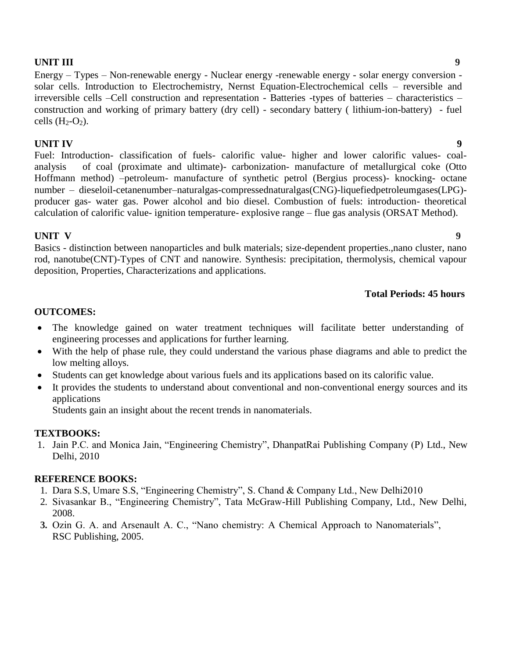# **UNIT III** 9

Energy – Types – Non-renewable energy - Nuclear energy -renewable energy - solar energy conversion solar cells. Introduction to Electrochemistry, Nernst Equation-Electrochemical cells – reversible and irreversible cells –Cell construction and representation - Batteries -types of batteries – characteristics – construction and working of primary battery (dry cell) - secondary battery ( lithium-ion-battery) - fuel cells  $(H_2-O_2)$ .

# **UNIT IV** 9

Fuel: Introduction- classification of fuels- calorific value- higher and lower calorific values- coalanalysis of coal (proximate and ultimate)- carbonization- manufacture of metallurgical coke (Otto Hoffmann method) –petroleum- manufacture of synthetic petrol (Bergius process)- knocking- octane number – dieseloil-cetanenumber–naturalgas-compressednaturalgas(CNG)-liquefiedpetroleumgases(LPG) producer gas- water gas. Power alcohol and bio diesel. Combustion of fuels: introduction- theoretical calculation of calorific value- ignition temperature- explosive range – flue gas analysis (ORSAT Method).

# **UNIT V** 9

Basics - distinction between nanoparticles and bulk materials; size-dependent properties.,nano cluster, nano rod, nanotube(CNT)-Types of CNT and nanowire. Synthesis: precipitation, thermolysis, chemical vapour deposition, Properties, Characterizations and applications.

# **Total Periods: 45 hours**

### **OUTCOMES:**

- The knowledge gained on water treatment techniques will facilitate better understanding of engineering processes and applications for further learning.
- With the help of phase rule, they could understand the various phase diagrams and able to predict the low melting alloys.
- Students can get knowledge about various fuels and its applications based on its calorific value.
- It provides the students to understand about conventional and non-conventional energy sources and its applications

Students gain an insight about the recent trends in nanomaterials.

# **TEXTBOOKS:**

1. Jain P.C. and Monica Jain, "Engineering Chemistry", DhanpatRai Publishing Company (P) Ltd., New Delhi, 2010

### **REFERENCE BOOKS:**

- 1. Dara S.S, Umare S.S, "Engineering Chemistry", S. Chand & Company Ltd., New Delhi2010
- 2. Sivasankar B., "Engineering Chemistry", Tata McGraw-Hill Publishing Company, Ltd., New Delhi, 2008.
- **3.** Ozin G. A. and Arsenault A. C., "Nano chemistry: A Chemical Approach to Nanomaterials", RSC Publishing, 2005.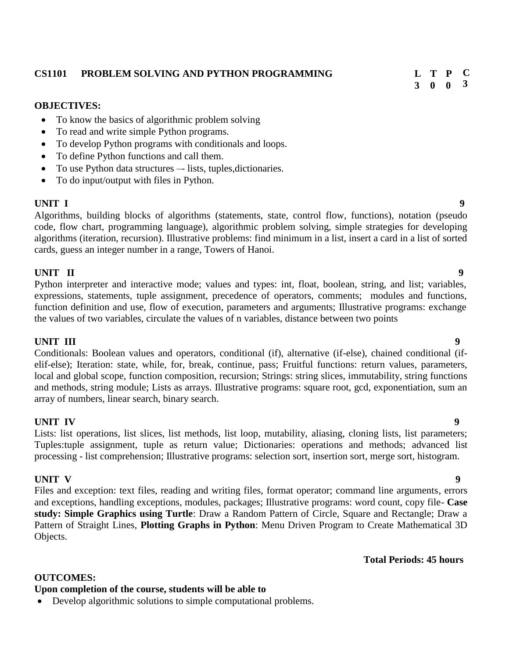#### **CS1101 PROBLEM SOLVING AND PYTHON PROGRAMMING L**

#### **OBJECTIVES:**

- To know the basics of algorithmic problem solving
- To read and write simple Python programs.
- To develop Python programs with conditionals and loops.
- To define Python functions and call them.
- To use Python data structures lists, tuples, dictionaries.
- To do input/output with files in Python.

#### **UNIT I** 9

Algorithms, building blocks of algorithms (statements, state, control flow, functions), notation (pseudo code, flow chart, programming language), algorithmic problem solving, simple strategies for developing algorithms (iteration, recursion). Illustrative problems: find minimum in a list, insert a card in a list of sorted cards, guess an integer number in a range, Towers of Hanoi.

#### **UNIT II 9**

Python interpreter and interactive mode; values and types: int, float, boolean, string, and list; variables, expressions, statements, tuple assignment, precedence of operators, comments; modules and functions, function definition and use, flow of execution, parameters and arguments; Illustrative programs: exchange the values of two variables, circulate the values of n variables, distance between two points

#### **UNIT III** 9

Conditionals: Boolean values and operators, conditional (if), alternative (if-else), chained conditional (ifelif-else); Iteration: state, while, for, break, continue, pass; Fruitful functions: return values, parameters, local and global scope, function composition, recursion; Strings: string slices, immutability, string functions and methods, string module; Lists as arrays. Illustrative programs: square root, gcd, exponentiation, sum an array of numbers, linear search, binary search.

### **UNIT IV 9**

Lists: list operations, list slices, list methods, list loop, mutability, aliasing, cloning lists, list parameters; Tuples:tuple assignment, tuple as return value; Dictionaries: operations and methods; advanced list processing - list comprehension; Illustrative programs: selection sort, insertion sort, merge sort, histogram.

#### **UNIT V 9**

Files and exception: text files, reading and writing files, format operator; command line arguments, errors and exceptions, handling exceptions, modules, packages; Illustrative programs: word count, copy file- **Case study: Simple Graphics using Turtle**: Draw a Random Pattern of Circle, Square and Rectangle; Draw a Pattern of Straight Lines, **Plotting Graphs in Python**: Menu Driven Program to Create Mathematical 3D Objects.

#### **Total Periods: 45 hours**

# **OUTCOMES:**

# **Upon completion of the course, students will be able to**

Develop algorithmic solutions to simple computational problems.

**C 3**

**3 0 0 T P**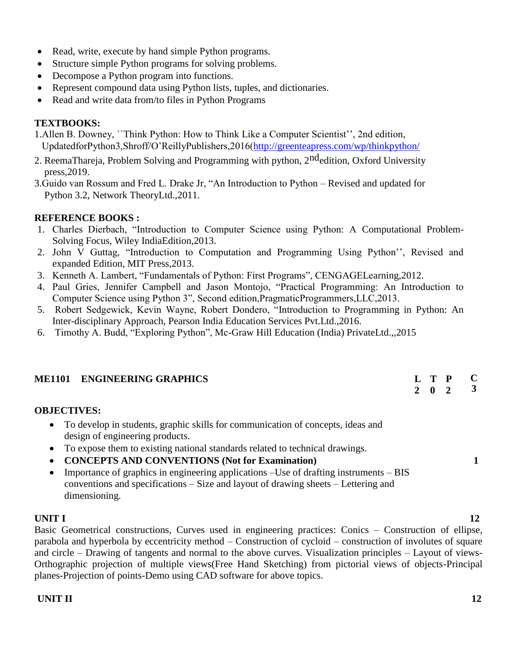- Read, write, execute by hand simple Python programs.
- Structure simple Python programs for solving problems.
- Decompose a Python program into functions.
- Represent compound data using Python lists, tuples, and dictionaries.
- Read and write data from/to files in Python Programs

# **TEXTBOOKS:**

- 1.Allen B. Downey, ``Think Python: How to Think Like a Computer Scientist'', 2nd edition, UpdatedforPython3,Shroff/O'ReillyPublishers,2016[\(http://greenteapress.com/wp/thinkpython/](http://greenteapress.com/wp/thinkpython/)
- 2. ReemaThareja, Problem Solving and Programming with python, 2<sup>nd</sup>edition, Oxford University press,2019.
- 3.Guido van Rossum and Fred L. Drake Jr, "An Introduction to Python Revised and updated for Python 3.2, Network TheoryLtd.,2011.

# **REFERENCE BOOKS :**

- 1. Charles Dierbach, "Introduction to Computer Science using Python: A Computational Problem-Solving Focus, Wiley IndiaEdition,2013.
- 2. John V Guttag, "Introduction to Computation and Programming Using Python'', Revised and expanded Edition, MIT Press,2013.
- 3. Kenneth A. Lambert, "Fundamentals of Python: First Programs", CENGAGELearning,2012.
- 4. Paul Gries, Jennifer Campbell and Jason Montojo, "Practical Programming: An Introduction to Computer Science using Python 3", Second edition,PragmaticProgrammers,LLC,2013.
- 5. Robert Sedgewick, Kevin Wayne, Robert Dondero, "Introduction to Programming in Python: An Inter-disciplinary Approach, Pearson India Education Services Pvt.Ltd.,2016.
- 6. Timothy A. Budd, "Exploring Python", Mc-Graw Hill Education (India) PrivateLtd.,,2015

| <b>ME1101 ENGINEERING GRAPHICS</b> |  | L T P C                     |  |
|------------------------------------|--|-----------------------------|--|
|                                    |  | $2 \quad 0 \quad 2 \quad 3$ |  |

# **OBJECTIVES:**

- To develop in students, graphic skills for communication of concepts, ideas and design of engineering products.
- To expose them to existing national standards related to technical drawings.
- **CONCEPTS AND CONVENTIONS (Not for Examination) 1**
- Importance of graphics in engineering applications –Use of drafting instruments BIS conventions and specifications – Size and layout of drawing sheets – Lettering and dimensioning.

# **UNIT I** 12

Basic Geometrical constructions, Curves used in engineering practices: Conics – Construction of ellipse, parabola and hyperbola by eccentricity method – Construction of cycloid – construction of involutes of square and circle – Drawing of tangents and normal to the above curves. Visualization principles – Layout of views-Orthographic projection of multiple views(Free Hand Sketching) from pictorial views of objects-Principal planes-Projection of points-Demo using CAD software for above topics.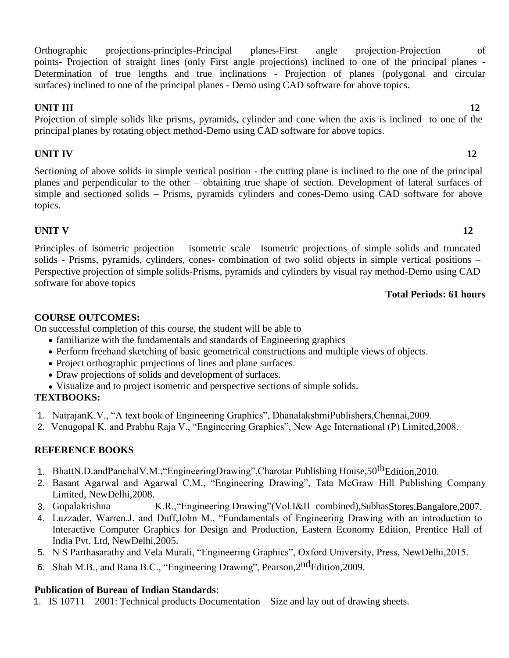Orthographic projections-principles-Principal planes-First angle projection-Projection of points- Projection of straight lines (only First angle projections) inclined to one of the principal planes - Determination of true lengths and true inclinations - Projection of planes (polygonal and circular surfaces) inclined to one of the principal planes - Demo using CAD software for above topics.

# **UNIT III** 12

Projection of simple solids like prisms, pyramids, cylinder and cone when the axis is inclined to one of the principal planes by rotating object method-Demo using CAD software for above topics.

# **UNIT IV** 12

Sectioning of above solids in simple vertical position - the cutting plane is inclined to the one of the principal planes and perpendicular to the other – obtaining true shape of section. Development of lateral surfaces of simple and sectioned solids – Prisms, pyramids cylinders and cones-Demo using CAD software for above topics.

# **UNIT V** 12

Principles of isometric projection – isometric scale –Isometric projections of simple solids and truncated solids - Prisms, pyramids, cylinders, cones- combination of two solid objects in simple vertical positions – Perspective projection of simple solids-Prisms, pyramids and cylinders by visual ray method-Demo using CAD software for above topics

# **Total Periods: 61 hours**

# **COURSE OUTCOMES:**

On successful completion of this course, the student will be able to

- familiarize with the fundamentals and standards of Engineering graphics
- Perform freehand sketching of basic geometrical constructions and multiple views of objects.
- Project orthographic projections of lines and plane surfaces.
- Draw projections of solids and development of surfaces.
- Visualize and to project isometric and perspective sections of simple solids.

# **TEXTBOOKS:**

- 1. NatrajanK.V., "A text book of Engineering Graphics", DhanalakshmiPublishers,Chennai,2009.
- 2. Venugopal K. and Prabhu Raja V., "Engineering Graphics", New Age International (P) Limited,2008.

# **REFERENCE BOOKS**

- 1. BhattN.D.andPanchalV.M., "EngineeringDrawing", Charotar Publishing House, 50<sup>th</sup>Edition. 2010.
- 2. Basant Agarwal and Agarwal C.M., "Engineering Drawing", Tata McGraw Hill Publishing Company Limited, NewDelhi,2008.
- 3. Gopalakrishna K.R.,"Engineering Drawing"(Vol.I&II combined),SubhasStores,Bangalore,2007.
- 4. Luzzader, Warren.J. and Duff,John M., "Fundamentals of Engineering Drawing with an introduction to Interactive Computer Graphics for Design and Production, Eastern Economy Edition, Prentice Hall of India Pvt. Ltd, NewDelhi,2005.
- 5. N S Parthasarathy and Vela Murali, "Engineering Graphics", Oxford University, Press, NewDelhi,2015.
- 6. Shah M.B., and Rana B.C., "Engineering Drawing", Pearson, 2nd Edition, 2009.

# **Publication of Bureau of Indian Standards**:

1. IS 10711 – 2001: Technical products Documentation – Size and lay out of drawing sheets.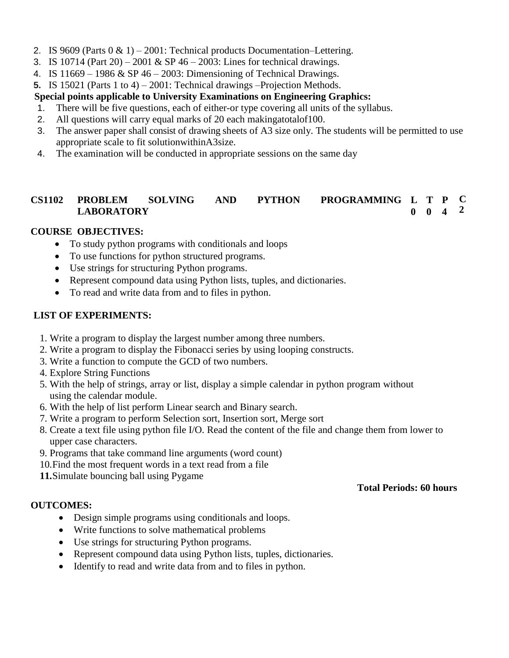- 2. IS 9609 (Parts  $0 \& 1$ ) 2001: Technical products Documentation–Lettering.
- 3. IS 10714 (Part 20) 2001 & SP 46 2003: Lines for technical drawings.
- 4. IS  $11669 1986 \& SP\ 46 2003$ : Dimensioning of Technical Drawings.
- **5.** IS 15021 (Parts 1 to 4) 2001: Technical drawings –Projection Methods.

# **Special points applicable to University Examinations on Engineering Graphics:**

- 1. There will be five questions, each of either-or type covering all units of the syllabus.
- 2. All questions will carry equal marks of 20 each makingatotalof100.
- 3. The answer paper shall consist of drawing sheets of A3 size only. The students will be permitted to use appropriate scale to fit solutionwithinA3size.
- 4. The examination will be conducted in appropriate sessions on the same day

#### **CS1102 PROBLEM SOLVING AND PYTHON PROGRAMMING L T P LABORATORY 0 0 4 C 2**

# **COURSE OBJECTIVES:**

- To study python programs with conditionals and loops
- To use functions for python structured programs.
- Use strings for structuring Python programs.
- Represent compound data using Python lists, tuples, and dictionaries.
- To read and write data from and to files in python.

## **LIST OF EXPERIMENTS:**

- 1. Write a program to display the largest number among three numbers.
- 2. Write a program to display the Fibonacci series by using looping constructs.
- 3. Write a function to compute the GCD of two numbers.
- 4. Explore String Functions
- 5. With the help of strings, array or list, display a simple calendar in python program without using the calendar module.
- 6. With the help of list perform Linear search and Binary search.
- 7. Write a program to perform Selection sort, Insertion sort, Merge sort
- 8. Create a text file using python file I/O. Read the content of the file and change them from lower to upper case characters.
- 9. Programs that take command line arguments (word count)
- 10.Find the most frequent words in a text read from a file
- **11.**Simulate bouncing ball using Pygame

### **OUTCOMES:**

- Design simple programs using conditionals and loops.
- Write functions to solve mathematical problems
- Use strings for structuring Python programs.
- Represent compound data using Python lists, tuples, dictionaries.
- Identify to read and write data from and to files in python.

# **Total Periods: 60 hours**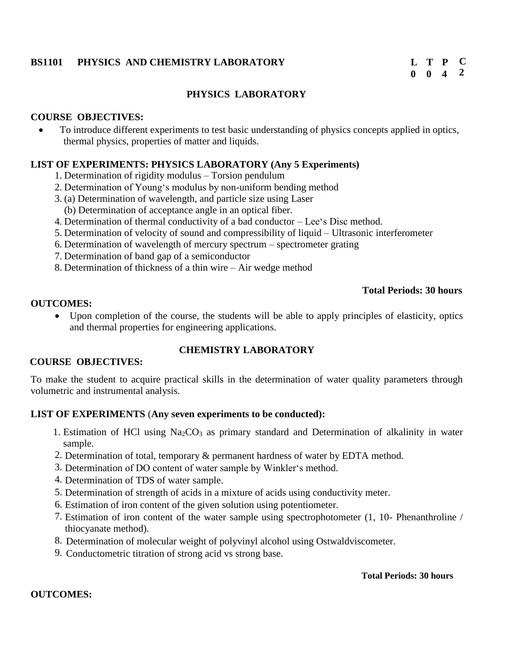# **BS1101 PHYSICS AND CHEMISTRY LABORATORY L**

# **PHYSICS LABORATORY**

#### **COURSE OBJECTIVES:**

 To introduce different experiments to test basic understanding of physics concepts applied in optics, thermal physics, properties of matter and liquids.

#### **LIST OF EXPERIMENTS: PHYSICS LABORATORY (Any 5 Experiments)**

- 1. Determination of rigidity modulus Torsion pendulum
- 2. Determination of Young's modulus by non-uniform bending method
- 3. (a) Determination of wavelength, and particle size using Laser (b) Determination of acceptance angle in an optical fiber.
- 4. Determination of thermal conductivity of a bad conductor Lee's Disc method.
- 5. Determination of velocity of sound and compressibility of liquid Ultrasonic interferometer
- 6. Determination of wavelength of mercury spectrum spectrometer grating
- 7. Determination of band gap of a semiconductor
- 8. Determination of thickness of a thin wire Air wedge method

#### **Total Periods: 30 hours**

#### **OUTCOMES:**

 Upon completion of the course, the students will be able to apply principles of elasticity, optics and thermal properties for engineering applications.

# **COURSE OBJECTIVES:**

### **CHEMISTRY LABORATORY**

To make the student to acquire practical skills in the determination of water quality parameters through volumetric and instrumental analysis.

### **LIST OF EXPERIMENTS** (**Any seven experiments to be conducted):**

- 1. Estimation of HCl using  $Na<sub>2</sub>CO<sub>3</sub>$  as primary standard and Determination of alkalinity in water sample.
- 2. Determination of total, temporary & permanent hardness of water by EDTA method.
- 3. Determination of DO content of water sample by Winkler's method.
- 4. Determination of TDS of water sample.
- 5. Determination of strength of acids in a mixture of acids using conductivity meter.
- 6. Estimation of iron content of the given solution using potentiometer.
- 7. Estimation of iron content of the water sample using spectrophotometer (1, 10- Phenanthroline / thiocyanate method).
- 8. Determination of molecular weight of polyvinyl alcohol using Ostwaldviscometer.
- 9. Conductometric titration of strong acid vs strong base.

#### **Total Periods: 30 hours**

#### **OUTCOMES:**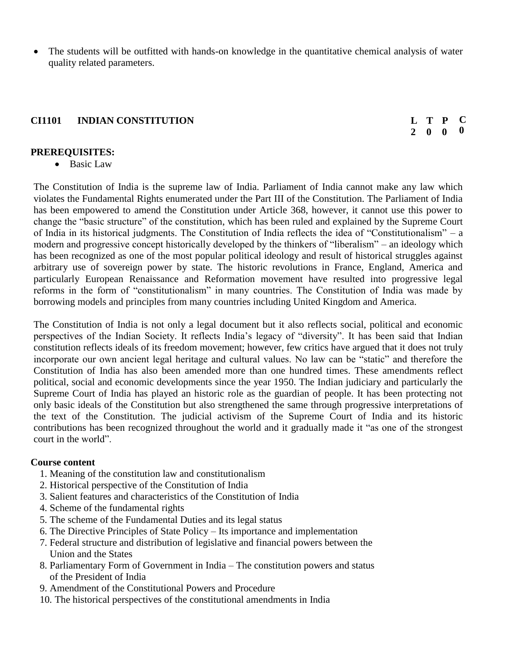The students will be outfitted with hands-on knowledge in the quantitative chemical analysis of water quality related parameters.

# **CI1101 INDIAN CONSTITUTION L**

#### **2 0 0 T P C 0**

### **PREREQUISITES:**

• Basic Law

The Constitution of India is the supreme law of India. Parliament of India cannot make any law which violates the Fundamental Rights enumerated under the Part III of the Constitution. The Parliament of India has been empowered to amend the Constitution under Article 368, however, it cannot use this power to change the "basic structure" of the constitution, which has been ruled and explained by the Supreme Court of India in its historical judgments. The Constitution of India reflects the idea of "Constitutionalism" – a modern and progressive concept historically developed by the thinkers of "liberalism" – an ideology which has been recognized as one of the most popular political ideology and result of historical struggles against arbitrary use of sovereign power by state. The historic revolutions in France, England, America and particularly European Renaissance and Reformation movement have resulted into progressive legal reforms in the form of "constitutionalism" in many countries. The Constitution of India was made by borrowing models and principles from many countries including United Kingdom and America.

The Constitution of India is not only a legal document but it also reflects social, political and economic perspectives of the Indian Society. It reflects India's legacy of "diversity". It has been said that Indian constitution reflects ideals of its freedom movement; however, few critics have argued that it does not truly incorporate our own ancient legal heritage and cultural values. No law can be "static" and therefore the Constitution of India has also been amended more than one hundred times. These amendments reflect political, social and economic developments since the year 1950. The Indian judiciary and particularly the Supreme Court of India has played an historic role as the guardian of people. It has been protecting not only basic ideals of the Constitution but also strengthened the same through progressive interpretations of the text of the Constitution. The judicial activism of the Supreme Court of India and its historic contributions has been recognized throughout the world and it gradually made it "as one of the strongest court in the world".

### **Course content**

- 1. Meaning of the constitution law and constitutionalism
- 2. Historical perspective of the Constitution of India
- 3. Salient features and characteristics of the Constitution of India
- 4. Scheme of the fundamental rights
- 5. The scheme of the Fundamental Duties and its legal status
- 6. The Directive Principles of State Policy Its importance and implementation
- 7. Federal structure and distribution of legislative and financial powers between the Union and the States
- 8. Parliamentary Form of Government in India The constitution powers and status of the President of India
- 9. Amendment of the Constitutional Powers and Procedure
- 10. The historical perspectives of the constitutional amendments in India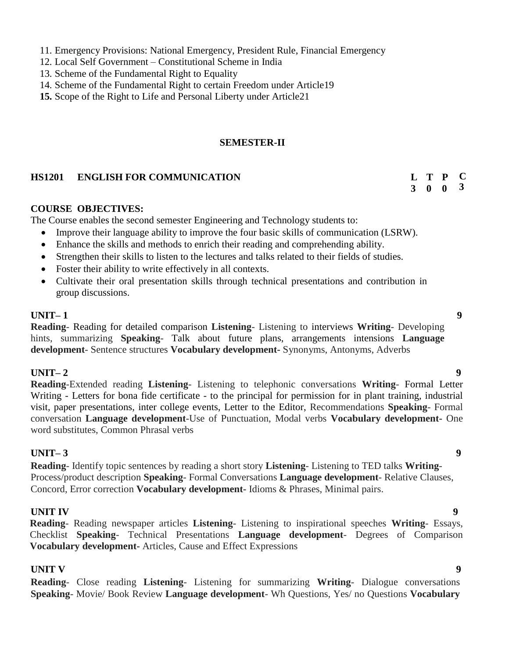- 11. Emergency Provisions: National Emergency, President Rule, Financial Emergency
- 12. Local Self Government Constitutional Scheme in India
- 13. Scheme of the Fundamental Right to Equality
- 14. Scheme of the Fundamental Right to certain Freedom under Article19
- **15.** Scope of the Right to Life and Personal Liberty under Article21

## **SEMESTER-II**

## **HS1201 ENGLISH FOR COMMUNICATION L**

### **COURSE OBJECTIVES:**

The Course enables the second semester Engineering and Technology students to:

- Improve their language ability to improve the four basic skills of communication (LSRW).
- Enhance the skills and methods to enrich their reading and comprehending ability.
- Strengthen their skills to listen to the lectures and talks related to their fields of studies.
- Foster their ability to write effectively in all contexts.
- Cultivate their oral presentation skills through technical presentations and contribution in group discussions.

# **UNIT– 1 9**

**Reading**- Reading for detailed comparison **Listening**- Listening to interviews **Writing**- Developing hints, summarizing **Speaking**- Talk about future plans, arrangements intensions **Language development**- Sentence structures **Vocabulary development-** Synonyms, Antonyms, Adverbs

# **UNIT– 2 9**

**Reading**-Extended reading **Listening**- Listening to telephonic conversations **Writing**- Formal Letter Writing - Letters for bona fide certificate - to the principal for permission for in plant training, industrial visit, paper presentations, inter college events, Letter to the Editor, Recommendations **Speaking**- Formal conversation **Language development**-Use of Punctuation, Modal verbs **Vocabulary development-** One word substitutes, Common Phrasal verbs

# **UNIT– 3 9**

**Reading**- Identify topic sentences by reading a short story **Listening**- Listening to TED talks **Writing**-Process/product description **Speaking**- Formal Conversations **Language development**- Relative Clauses, Concord, Error correction **Vocabulary development-** Idioms & Phrases, Minimal pairs.

# **UNIT IV** 9

**Reading**- Reading newspaper articles **Listening**- Listening to inspirational speeches **Writing**- Essays, Checklist **Speaking**- Technical Presentations **Language development**- Degrees of Comparison **Vocabulary development-** Articles, Cause and Effect Expressions

# **UNIT V** 9

**Reading**- Close reading **Listening**- Listening for summarizing **Writing**- Dialogue conversations **Speaking**- Movie/ Book Review **Language development**- Wh Questions, Yes/ no Questions **Vocabulary** 

**C 3**

**3 0 0 T P**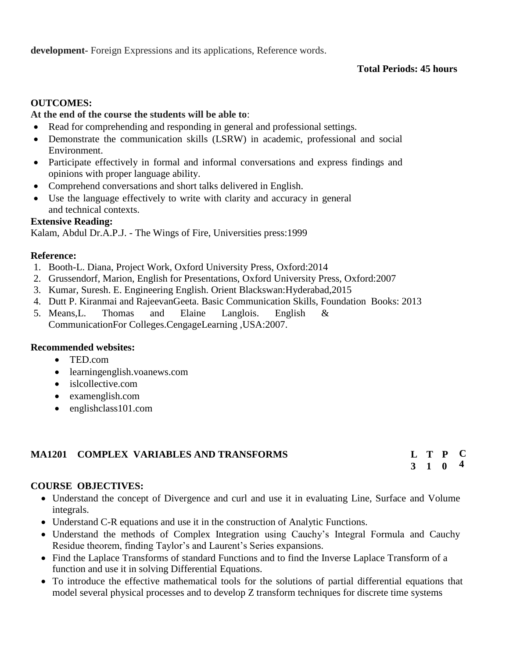**development-** Foreign Expressions and its applications, Reference words.

# **Total Periods: 45 hours**

# **OUTCOMES:**

## **At the end of the course the students will be able to**:

- Read for comprehending and responding in general and professional settings.
- Demonstrate the communication skills (LSRW) in academic, professional and social Environment.
- Participate effectively in formal and informal conversations and express findings and opinions with proper language ability.
- Comprehend conversations and short talks delivered in English.
- Use the language effectively to write with clarity and accuracy in general and technical contexts.

### **Extensive Reading:**

Kalam, Abdul Dr.A.P.J. - The Wings of Fire, Universities press:1999

### **Reference:**

- 1. Booth-L. Diana, Project Work, Oxford University Press, Oxford:2014
- 2. Grussendorf, Marion, English for Presentations, Oxford University Press, Oxford:2007
- 3. Kumar, Suresh. E. Engineering English. Orient Blackswan:Hyderabad,2015
- 4. Dutt P. Kiranmai and RajeevanGeeta. Basic Communication Skills, Foundation Books: 2013
- 5. Means,L. Thomas and Elaine Langlois. English & CommunicationFor Colleges.CengageLearning ,USA:2007.

### **Recommended websites:**

- TED.com
- learningenglish.voanews.com
- [islcollective.com](http://www.islcollective.com/)
- examenglish.com
- englishclass101.com

# **MA1201 COMPLEX VARIABLES AND TRANSFORMS**

#### **3 1 0 T P C 4**

# **COURSE OBJECTIVES:**

- Understand the concept of Divergence and curl and use it in evaluating Line, Surface and Volume integrals.
- Understand C-R equations and use it in the construction of Analytic Functions.
- Understand the methods of Complex Integration using Cauchy's Integral Formula and Cauchy Residue theorem, finding Taylor's and Laurent's Series expansions.
- Find the Laplace Transforms of standard Functions and to find the Inverse Laplace Transform of a function and use it in solving Differential Equations.
- To introduce the effective mathematical tools for the solutions of partial differential equations that model several physical processes and to develop Z transform techniques for discrete time systems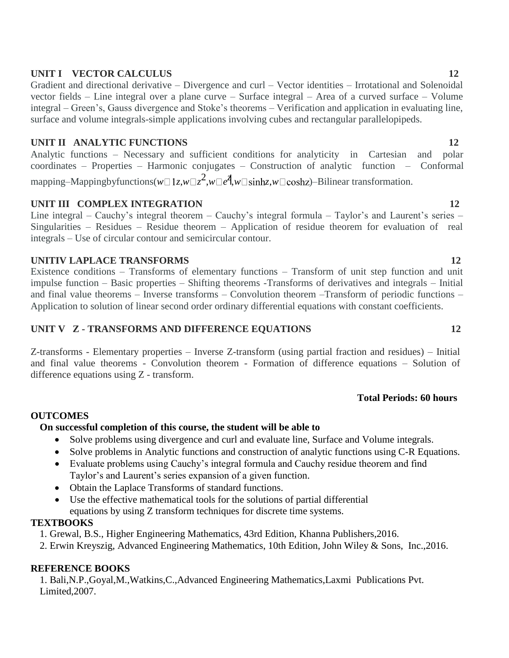# **UNIT I** VECTOR CALCULUS 12

Gradient and directional derivative – Divergence and curl – Vector identities – Irrotational and Solenoidal vector fields – Line integral over a plane curve – Surface integral – Area of a curved surface – Volume integral – Green's, Gauss divergence and Stoke's theorems – Verification and application in evaluating line, surface and volume integrals-simple applications involving cubes and rectangular parallelopipeds.

# **UNIT II ANALYTIC FUNCTIONS 12**

Analytic functions – Necessary and sufficient conditions for analyticity in Cartesian and polar coordinates – Properties – Harmonic conjugates – Construction of analytic function – Conformal  $m$ apping–Mappingbyfunctions( $w \Box 1z$ , $w \Box z^2$ , $w \Box e^{\overline{z}}$ , $w \Box$ sinh $z$ , $w \Box$ coshz)–Bilinear transformation.

# **UNIT III COMPLEX INTEGRATION 12**

Line integral – Cauchy's integral theorem – Cauchy's integral formula – Taylor's and Laurent's series – Singularities – Residues – Residue theorem – Application of residue theorem for evaluation of real integrals – Use of circular contour and semicircular contour.

# **UNITIV LAPLACE TRANSFORMS 12**

Existence conditions – Transforms of elementary functions – Transform of unit step function and unit impulse function – Basic properties – Shifting theorems -Transforms of derivatives and integrals – Initial and final value theorems – Inverse transforms – Convolution theorem –Transform of periodic functions – Application to solution of linear second order ordinary differential equations with constant coefficients.

# **UNIT V Z - TRANSFORMS AND DIFFERENCE EQUATIONS 12**

Z-transforms - Elementary properties – Inverse Z-transform (using partial fraction and residues) – Initial and final value theorems - Convolution theorem - Formation of difference equations – Solution of difference equations using Z - transform.

# **Total Periods: 60 hours**

# **OUTCOMES**

# **On successful completion of this course, the student will be able to**

- Solve problems using divergence and curl and evaluate line, Surface and Volume integrals.
- Solve problems in Analytic functions and construction of analytic functions using C-R Equations.
- Evaluate problems using Cauchy's integral formula and Cauchy residue theorem and find Taylor's and Laurent's series expansion of a given function.
- Obtain the Laplace Transforms of standard functions.
- Use the effective mathematical tools for the solutions of partial differential equations by using Z transform techniques for discrete time systems.

# **TEXTBOOKS**

- 1. Grewal, B.S., Higher Engineering Mathematics, 43rd Edition, Khanna Publishers,2016.
- 2. Erwin Kreyszig, Advanced Engineering Mathematics, 10th Edition, John Wiley & Sons, Inc.,2016.

# **REFERENCE BOOKS**

1. Bali,N.P.,Goyal,M.,Watkins,C.,Advanced Engineering Mathematics,Laxmi Publications Pvt. Limited,2007.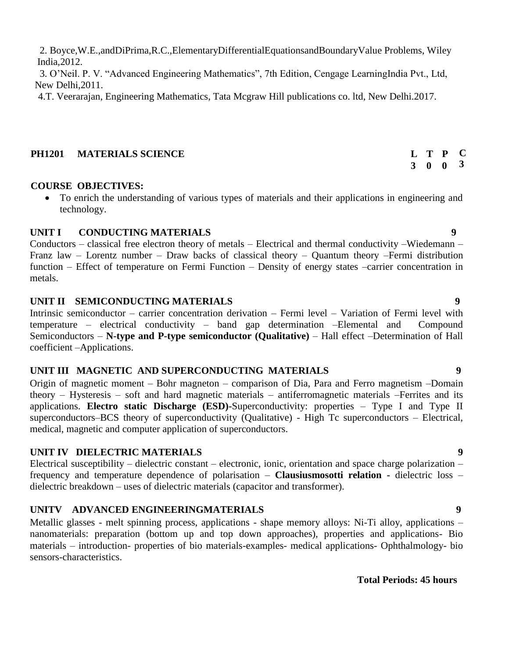2. Boyce,W.E.,andDiPrima,R.C.,ElementaryDifferentialEquationsandBoundaryValue Problems, Wiley India,2012.

3. O'Neil. P. V. "Advanced Engineering Mathematics", 7th Edition, Cengage LearningIndia Pvt., Ltd, New Delhi,2011.

4.T. Veerarajan, Engineering Mathematics, Tata Mcgraw Hill publications co. ltd, New Delhi.2017.

## **PH1201 MATERIALS SCIENCE L**

# **COURSE OBJECTIVES:**

 To enrich the understanding of various types of materials and their applications in engineering and technology.

## **UNIT I CONDUCTING MATERIALS 9**

Conductors – classical free electron theory of metals – Electrical and thermal conductivity –Wiedemann – Franz law – Lorentz number – Draw backs of classical theory – Quantum theory –Fermi distribution function – Effect of temperature on Fermi Function – Density of energy states –carrier concentration in metals.

## **UNIT II SEMICONDUCTING MATERIALS 9**

Intrinsic semiconductor – carrier concentration derivation – Fermi level – Variation of Fermi level with temperature – electrical conductivity – band gap determination –Elemental and Compound Semiconductors – **N-type and P-type semiconductor (Qualitative)** – Hall effect –Determination of Hall coefficient –Applications.

# **UNIT III MAGNETIC AND SUPERCONDUCTING MATERIALS 9**

Origin of magnetic moment – Bohr magneton – comparison of Dia, Para and Ferro magnetism –Domain theory – Hysteresis – soft and hard magnetic materials – antiferromagnetic materials –Ferrites and its applications. **Electro static Discharge (ESD)-**Superconductivity: properties – Type I and Type II superconductors–BCS theory of superconductivity (Qualitative) - High Tc superconductors – Electrical, medical, magnetic and computer application of superconductors.

# **UNIT IV DIELECTRIC MATERIALS 9**

Electrical susceptibility – dielectric constant – electronic, ionic, orientation and space charge polarization – frequency and temperature dependence of polarisation – **Clausiusmosotti relation -** dielectric loss – dielectric breakdown – uses of dielectric materials (capacitor and transformer).

# **UNITV ADVANCED ENGINEERINGMATERIALS 9**

Metallic glasses - melt spinning process, applications - shape memory alloys: Ni-Ti alloy, applications – nanomaterials: preparation (bottom up and top down approaches), properties and applications- Bio materials – introduction- properties of bio materials-examples- medical applications- Ophthalmology- bio sensors-characteristics.

# **Total Periods: 45 hours**

#### **3 0 T P 0 C 3**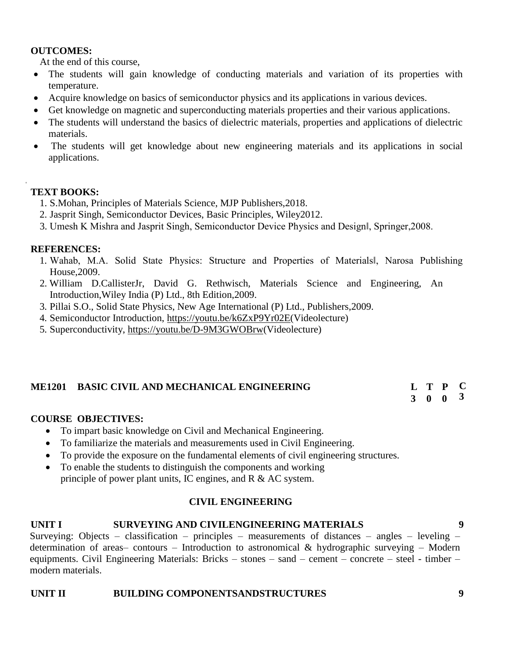### **OUTCOMES:**

At the end of this course,

- The students will gain knowledge of conducting materials and variation of its properties with temperature.
- Acquire knowledge on basics of semiconductor physics and its applications in various devices.
- Get knowledge on magnetic and superconducting materials properties and their various applications.
- The students will understand the basics of dielectric materials, properties and applications of dielectric materials.
- The students will get knowledge about new engineering materials and its applications in social applications.

# **TEXT BOOKS:**

**1.**

- 1. S.Mohan, Principles of Materials Science, MJP Publishers,2018.
- 2. Jasprit Singh, Semiconductor Devices, Basic Principles, Wiley2012.
- 3. Umesh K Mishra and Jasprit Singh, Semiconductor Device Physics and Design‖, Springer,2008.

# **REFERENCES:**

- 1. Wahab, M.A. Solid State Physics: Structure and Properties of Materials‖, Narosa Publishing House,2009.
- 2. William D.CallisterJr, David G. Rethwisch, Materials Science and Engineering, An Introduction,Wiley India (P) Ltd., 8th Edition,2009.
- 3. Pillai S.O., Solid State Physics, New Age International (P) Ltd., Publishers,2009.
- 4. Semiconductor Introduction, [https://youtu.be/k6ZxP9Yr02E\(](https://youtu.be/k6ZxP9Yr02E)Videolecture)
- 5. Superconductivity, [https://youtu.be/D-9M3GWOBrw\(](https://youtu.be/D-9M3GWOBrw)Videolecture)

#### **ME1201 BASIC CIVIL AND MECHANICAL ENGINEERING T P**

**3 0 0 3**

**C**

# **COURSE OBJECTIVES:**

- To impart basic knowledge on Civil and Mechanical Engineering.
- To familiarize the materials and measurements used in Civil Engineering.
- To provide the exposure on the fundamental elements of civil engineering structures.
- To enable the students to distinguish the components and working principle of power plant units, IC engines, and R & AC system.

# **CIVIL ENGINEERING**

### **UNIT I SURVEYING AND CIVILENGINEERING MATERIALS 9**

Surveying: Objects – classification – principles – measurements of distances – angles – leveling – determination of areas– contours – Introduction to astronomical  $\&$  hydrographic surveying – Modern equipments. Civil Engineering Materials: Bricks – stones – sand – cement – concrete – steel - timber – modern materials.

### **UNIT II BUILDING COMPONENTSANDSTRUCTURES 9**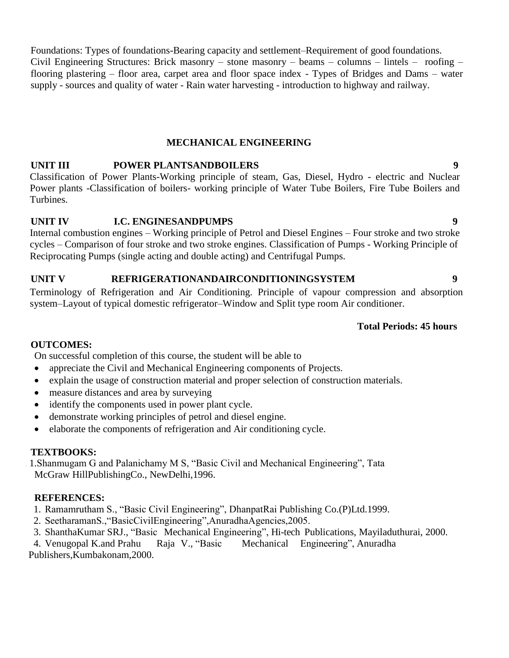Foundations: Types of foundations-Bearing capacity and settlement–Requirement of good foundations. Civil Engineering Structures: Brick masonry – stone masonry – beams – columns – lintels – roofing – flooring plastering – floor area, carpet area and floor space index - Types of Bridges and Dams – water supply - sources and quality of water - Rain water harvesting - introduction to highway and railway.

# **MECHANICAL ENGINEERING**

# **UNIT III POWER PLANTSANDBOILERS 9**

Classification of Power Plants-Working principle of steam, Gas, Diesel, Hydro - electric and Nuclear Power plants -Classification of boilers- working principle of Water Tube Boilers, Fire Tube Boilers and Turbines.

## **UNIT IV I.C. ENGINESANDPUMPS 9**

Internal combustion engines – Working principle of Petrol and Diesel Engines – Four stroke and two stroke cycles – Comparison of four stroke and two stroke engines. Classification of Pumps - Working Principle of Reciprocating Pumps (single acting and double acting) and Centrifugal Pumps.

## **UNIT V REFRIGERATIONANDAIRCONDITIONINGSYSTEM 9**

Terminology of Refrigeration and Air Conditioning. Principle of vapour compression and absorption system–Layout of typical domestic refrigerator–Window and Split type room Air conditioner.

### **Total Periods: 45 hours**

### **OUTCOMES:**

On successful completion of this course, the student will be able to

- appreciate the Civil and Mechanical Engineering components of Projects.
- explain the usage of construction material and proper selection of construction materials.
- measure distances and area by surveying
- identify the components used in power plant cycle.
- demonstrate working principles of petrol and diesel engine.
- elaborate the components of refrigeration and Air conditioning cycle.

### **TEXTBOOKS:**

1. 1.Shanmugam G and Palanichamy M S, "Basic Civil and Mechanical Engineering", Tata McGraw HillPublishingCo., NewDelhi,1996.

# **REFERENCES:**

1. Ramamrutham S., "Basic Civil Engineering", DhanpatRai Publishing Co.(P)Ltd.1999.

- 2. SeetharamanS.,"BasicCivilEngineering",AnuradhaAgencies,2005.
- 3. ShanthaKumar SRJ., "Basic Mechanical Engineering", Hi-tech Publications, Mayiladuthurai, 2000.

4. Venugopal K.and Prahu Raja V., "Basic Mechanical Engineering", Anuradha

Publishers,Kumbakonam,2000.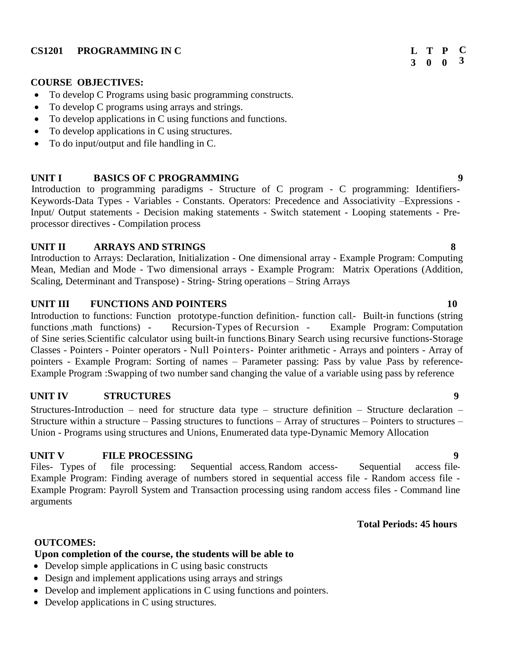# **COURSE OBJECTIVES:**

- To develop C Programs using basic programming constructs.
- To develop C programs using arrays and strings.
- To develop applications in C using functions and functions.
- To develop applications in C using structures.
- To do input/output and file handling in C.

# **UNIT I BASICS OF C PROGRAMMING 9**

Introduction to programming paradigms - Structure of C program - C programming: Identifiers-Keywords-Data Types - Variables - Constants. Operators: Precedence and Associativity –Expressions - Input/ Output statements - Decision making statements - Switch statement - Looping statements - Preprocessor directives - Compilation process

# **UNIT II ARRAYS AND STRINGS 8**

Introduction to Arrays: Declaration, Initialization - One dimensional array - Example Program: Computing Mean, Median and Mode - Two dimensional arrays - Example Program: Matrix Operations (Addition, Scaling, Determinant and Transpose) - String- String operations – String Arrays

# **UNIT III FUNCTIONS AND POINTERS 10**

Introduction to functions: Function prototype,-function definition,- function call,- Built-in functions (string functions math functions) - Recursion-Types of Recursion - Example Program: Computation of Sine series, Scientific calculator using built-in functions, Binary Search using recursive functions-Storage Classes - Pointers - Pointer operators - Null Pointers- Pointer arithmetic - Arrays and pointers - Array of pointers - Example Program: Sorting of names – Parameter passing: Pass by value Pass by reference-Example Program :Swapping of two number sand changing the value of a variable using pass by reference

# **UNIT IV STRUCTURES 9**

Structures-Introduction – need for structure data type – structure definition – Structure declaration – Structure within a structure – Passing structures to functions – Array of structures – Pointers to structures – Union - Programs using structures and Unions, Enumerated data type-Dynamic Memory Allocation

# **UNIT V FILE PROCESSING 9**

Files- Types of file processing: Sequential access, Random access- Sequential access file-Example Program: Finding average of numbers stored in sequential access file - Random access file - Example Program: Payroll System and Transaction processing using random access files - Command line arguments

### **Total Periods: 45 hours**

# **OUTCOMES:**

# **Upon completion of the course, the students will be able to**

- Develop simple applications in C using basic constructs
- Design and implement applications using arrays and strings
- Develop and implement applications in C using functions and pointers.
- Develop applications in C using structures.

#### **3 0 T P 0 C 3**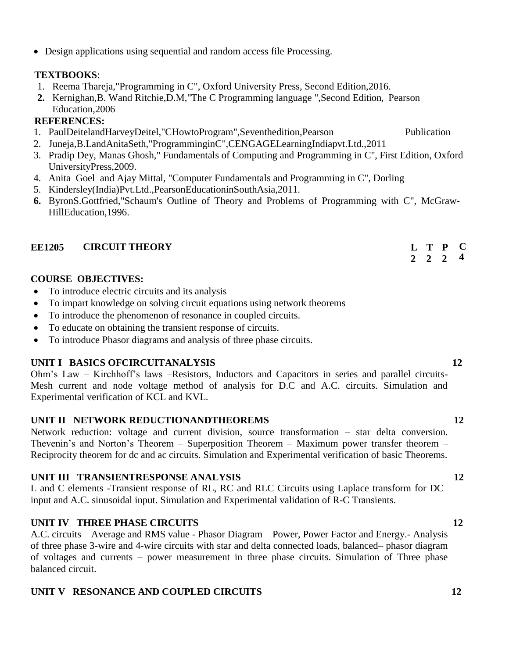Design applications using sequential and random access file Processing.

# **TEXTBOOKS**:

- 1. Reema Thareja,"Programming in C", Oxford University Press, Second Edition,2016.
- **2.** Kernighan,B. Wand Ritchie,D.M,"The C Programming language ",Second Edition, Pearson Education,2006

# **REFERENCES:**

- 1. PaulDeitelandHarveyDeitel,"CHowtoProgram",Seventhedition,Pearson Publication
- 2. Juneja,B.LandAnitaSeth,"ProgramminginC",CENGAGELearningIndiapvt.Ltd.,2011
- 3. Pradip Dey, Manas Ghosh," Fundamentals of Computing and Programming in C", First Edition, Oxford UniversityPress,2009.
- 4. Anita Goel and Ajay Mittal, "Computer Fundamentals and Programming in C", Dorling
- 5. Kindersley(India)Pvt.Ltd.,PearsonEducationinSouthAsia,2011.
- **6.** ByronS.Gottfried,"Schaum's Outline of Theory and Problems of Programming with C", McGraw-HillEducation,1996.

# **EE1205 CIRCUIT THEORY**

# **COURSE OBJECTIVES:**

- To introduce electric circuits and its analysis
- To impart knowledge on solving circuit equations using network theorems
- To introduce the phenomenon of resonance in coupled circuits.
- To educate on obtaining the transient response of circuits.
- To introduce Phasor diagrams and analysis of three phase circuits.

# **UNIT I BASICS OFCIRCUITANALYSIS 12**

Ohm's Law – Kirchhoff's laws –Resistors, Inductors and Capacitors in series and parallel circuits-Mesh current and node voltage method of analysis for D.C and A.C. circuits. Simulation and Experimental verification of KCL and KVL.

# **UNIT II NETWORK REDUCTIONANDTHEOREMS 12**

Network reduction: voltage and current division, source transformation – star delta conversion. Thevenin's and Norton's Theorem – Superposition Theorem – Maximum power transfer theorem – Reciprocity theorem for dc and ac circuits. Simulation and Experimental verification of basic Theorems.

# **UNIT III TRANSIENTRESPONSE ANALYSIS 12**

L and C elements -Transient response of RL, RC and RLC Circuits using Laplace transform for DC input and A.C. sinusoidal input. Simulation and Experimental validation of R-C Transients.

# **UNIT IV THREE PHASE CIRCUITS 12**

A.C. circuits – Average and RMS value - Phasor Diagram – Power, Power Factor and Energy.- Analysis of three phase 3-wire and 4-wire circuits with star and delta connected loads, balanced– phasor diagram of voltages and currents – power measurement in three phase circuits. Simulation of Three phase balanced circuit.

# **UNIT V RESONANCE AND COUPLED CIRCUITS 12**

# **2 2 2 4**

**T P**

**C**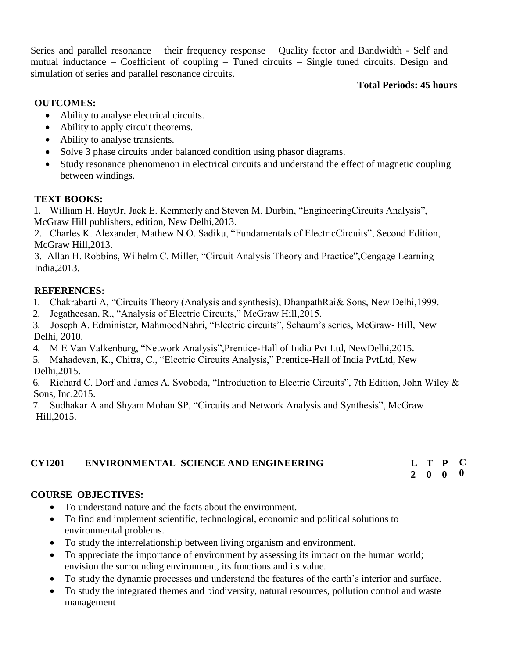Series and parallel resonance – their frequency response – Quality factor and Bandwidth - Self and mutual inductance – Coefficient of coupling – Tuned circuits – Single tuned circuits. Design and simulation of series and parallel resonance circuits.

# **Total Periods: 45 hours**

# **OUTCOMES:**

- Ability to analyse electrical circuits.
- Ability to apply circuit theorems.
- Ability to analyse transients.
- Solve 3 phase circuits under balanced condition using phasor diagrams.
- Study resonance phenomenon in electrical circuits and understand the effect of magnetic coupling between windings.

# **TEXT BOOKS:**

1. William H. HaytJr, Jack E. Kemmerly and Steven M. Durbin, "EngineeringCircuits Analysis", McGraw Hill publishers, edition, New Delhi,2013.

2. Charles K. Alexander, Mathew N.O. Sadiku, "Fundamentals of ElectricCircuits", Second Edition, McGraw Hill,2013.

3. Allan H. Robbins, Wilhelm C. Miller, "Circuit Analysis Theory and Practice",Cengage Learning India,2013.

# **REFERENCES:**

- 1. Chakrabarti A, "Circuits Theory (Analysis and synthesis), DhanpathRai& Sons, New Delhi,1999.
- 2. Jegatheesan, R., "Analysis of Electric Circuits," McGraw Hill,2015.

3. Joseph A. Edminister, MahmoodNahri, "Electric circuits", Schaum's series, McGraw- Hill, New Delhi, 2010.

- 4. M E Van Valkenburg, "Network Analysis",Prentice-Hall of India Pvt Ltd, NewDelhi,2015.
- 5. Mahadevan, K., Chitra, C., "Electric Circuits Analysis," Prentice-Hall of India PvtLtd, New Delhi,2015.

6. Richard C. Dorf and James A. Svoboda, "Introduction to Electric Circuits", 7th Edition, John Wiley & Sons, Inc.2015.

7. Sudhakar A and Shyam Mohan SP, "Circuits and Network Analysis and Synthesis", McGraw Hill,2015.

#### **CY1201 ENVIRONMENTAL SCIENCE AND ENGINEERING L 2 0 0 T P C 0**

# **COURSE OBJECTIVES:**

- To understand nature and the facts about the environment.
- To find and implement scientific, technological, economic and political solutions to environmental problems.
- To study the interrelationship between living organism and environment.
- To appreciate the importance of environment by assessing its impact on the human world; envision the surrounding environment, its functions and its value.
- To study the dynamic processes and understand the features of the earth's interior and surface.
- To study the integrated themes and biodiversity, natural resources, pollution control and waste management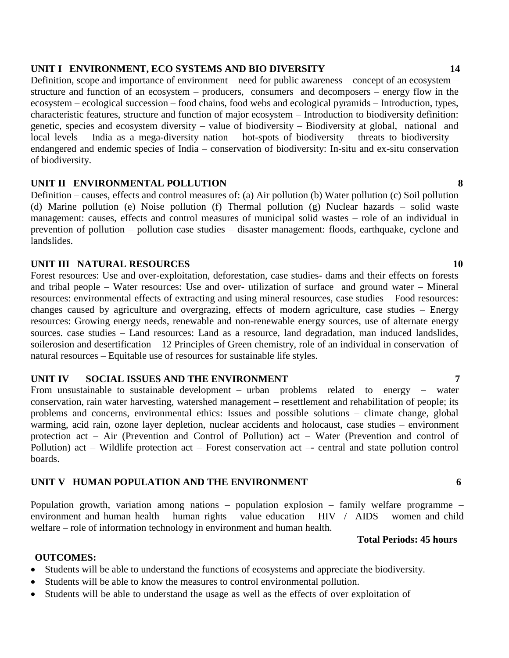### **UNIT I ENVIRONMENT, ECO SYSTEMS AND BIO DIVERSITY 14**

Definition, scope and importance of environment – need for public awareness – concept of an ecosystem – structure and function of an ecosystem – producers, consumers and decomposers – energy flow in the ecosystem – ecological succession – food chains, food webs and ecological pyramids – Introduction, types, characteristic features, structure and function of major ecosystem – Introduction to biodiversity definition: genetic, species and ecosystem diversity – value of biodiversity – Biodiversity at global, national and local levels – India as a mega-diversity nation – hot-spots of biodiversity – threats to biodiversity – endangered and endemic species of India – conservation of biodiversity: In-situ and ex-situ conservation of biodiversity.

### **UNIT II ENVIRONMENTAL POLLUTION 8**

Definition – causes, effects and control measures of: (a) Air pollution (b) Water pollution (c) Soil pollution (d) Marine pollution (e) Noise pollution (f) Thermal pollution (g) Nuclear hazards – solid waste management: causes, effects and control measures of municipal solid wastes – role of an individual in prevention of pollution – pollution case studies – disaster management: floods, earthquake, cyclone and landslides.

## **UNIT III NATURAL RESOURCES 10**

Forest resources: Use and over-exploitation, deforestation, case studies- dams and their effects on forests and tribal people – Water resources: Use and over- utilization of surface and ground water – Mineral resources: environmental effects of extracting and using mineral resources, case studies – Food resources: changes caused by agriculture and overgrazing, effects of modern agriculture, case studies – Energy resources: Growing energy needs, renewable and non-renewable energy sources, use of alternate energy sources. case studies – Land resources: Land as a resource, land degradation, man induced landslides, soilerosion and desertification – 12 Principles of Green chemistry, role of an individual in conservation of natural resources – Equitable use of resources for sustainable life styles.

### **UNIT IV SOCIAL ISSUES AND THE ENVIRONMENT 7**

From unsustainable to sustainable development – urban problems related to energy – water conservation, rain water harvesting, watershed management – resettlement and rehabilitation of people; its problems and concerns, environmental ethics: Issues and possible solutions – climate change, global warming, acid rain, ozone layer depletion, nuclear accidents and holocaust, case studies – environment protection act – Air (Prevention and Control of Pollution) act – Water (Prevention and control of Pollution) act – Wildlife protection act – Forest conservation act –- central and state pollution control boards.

### **UNIT V HUMAN POPULATION AND THE ENVIRONMENT 6**

Population growth, variation among nations – population explosion – family welfare programme – environment and human health – human rights – value education –  $HIV$  /  $AIDS$  – women and child welfare – role of information technology in environment and human health.

## **Total Periods: 45 hours**

### **OUTCOMES:**

- Students will be able to understand the functions of ecosystems and appreciate the biodiversity.
- Students will be able to know the measures to control environmental pollution.
- Students will be able to understand the usage as well as the effects of over exploitation of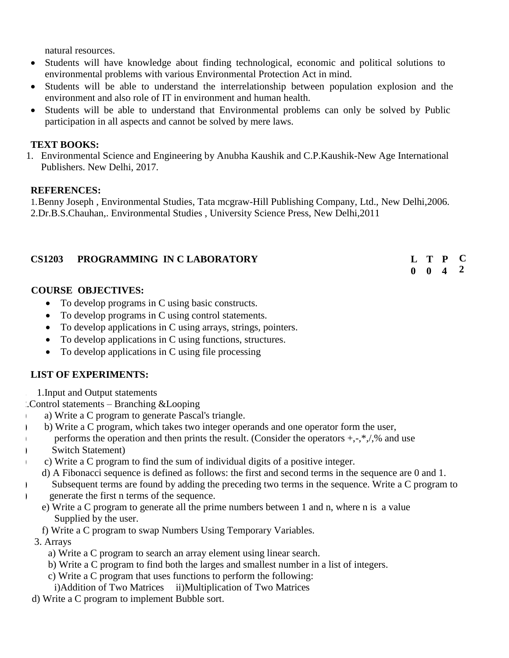natural resources.

- Students will have knowledge about finding technological, economic and political solutions to environmental problems with various Environmental Protection Act in mind.
- Students will be able to understand the interrelationship between population explosion and the environment and also role of IT in environment and human health.
- Students will be able to understand that Environmental problems can only be solved by Public participation in all aspects and cannot be solved by mere laws.

# **TEXT BOOKS:**

1. Environmental Science and Engineering by Anubha Kaushik and C.P.Kaushik-New Age International Publishers. New Delhi, 2017.

# **REFERENCES:**

1.Benny Joseph , Environmental Studies, Tata mcgraw-Hill Publishing Company, Ltd., New Delhi,2006. 2.Dr.B.S.Chauhan,. Environmental Studies , University Science Press, New Delhi,2011

# **CS1203 PROGRAMMING IN C LABORATORY L**

#### **0 0 4 T P C 2**

# **COURSE OBJECTIVES:**

- To develop programs in C using basic constructs.
- To develop programs in C using control statements.
- To develop applications in C using arrays, strings, pointers.
- To develop applications in C using functions, structures.
- To develop applications in C using file processing

# **LIST OF EXPERIMENTS:**

**1.** 1.Input and Output statements

2.Control statements – Branching &Looping

- a) Write a C program to generate Pascal's triangle.
- b) b) Write a C program, which takes two integer operands and one operator form the user,
- performs the operation and then prints the result. (Consider the operators  $+, \cdot, *, \prime$ , % and use
- d) Switch Statement)
	- e) c) Write a C program to find the sum of individual digits of a positive integer.
	- f) d) A Fibonacci sequence is defined as follows: the first and second terms in the sequence are 0 and 1.
- subsequent terms are found by adding the preceding two terms in the sequence. Write a C program to h) generate the first n terms of the sequence.
	- e) Write a C program to generate all the prime numbers between 1 and n, where n is a value Supplied by the user.
	- f) Write a C program to swap Numbers Using Temporary Variables.
	- **2.** 3. Arrays
		- a) Write a C program to search an array element using linear search.
		- b) Write a C program to find both the larges and smallest number in a list of integers.
		- c) Write a C program that uses functions to perform the following:
		- i)Addition of Two Matrices ii)Multiplication of Two Matrices
	- d) Write a C program to implement Bubble sort.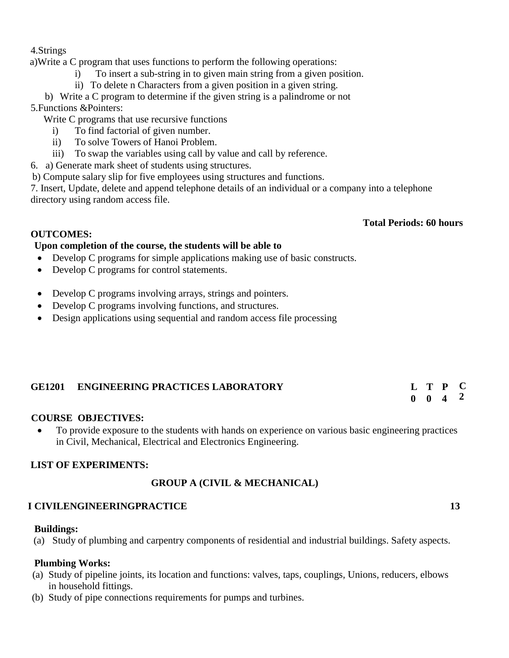### 4.Strings

a)Write a C program that uses functions to perform the following operations:

- i) To insert a sub-string in to given main string from a given position.
- ii) To delete n Characters from a given position in a given string.

b) Write a C program to determine if the given string is a palindrome or not 5.Functions &Pointers:

- Write C programs that use recursive functions
	- i) To find factorial of given number.
	- ii) To solve Towers of Hanoi Problem.
	- iii) To swap the variables using call by value and call by reference.
- 6. a) Generate mark sheet of students using structures.

b) Compute salary slip for five employees using structures and functions.

7. Insert, Update, delete and append telephone details of an individual or a company into a telephone directory using random access file.

## **Total Periods: 60 hours**

## **OUTCOMES:**

## **Upon completion of the course, the students will be able to**

- Develop C programs for simple applications making use of basic constructs.
- Develop C programs for control statements.
- Develop C programs involving arrays, strings and pointers.
- Develop C programs involving functions, and structures.
- Design applications using sequential and random access file processing

#### **GE1201 ENGINEERING PRACTICES LABORATORY L T P C**

#### **0 0 4 2**

# **COURSE OBJECTIVES:**

 To provide exposure to the students with hands on experience on various basic engineering practices in Civil, Mechanical, Electrical and Electronics Engineering.

# **LIST OF EXPERIMENTS:**

# **GROUP A (CIVIL & MECHANICAL)**

# **I CIVILENGINEERINGPRACTICE 13**

### **Buildings:**

(a) Study of plumbing and carpentry components of residential and industrial buildings. Safety aspects.

### **Plumbing Works:**

- (a) Study of pipeline joints, its location and functions: valves, taps, couplings, Unions, reducers, elbows in household fittings.
- (b) Study of pipe connections requirements for pumps and turbines.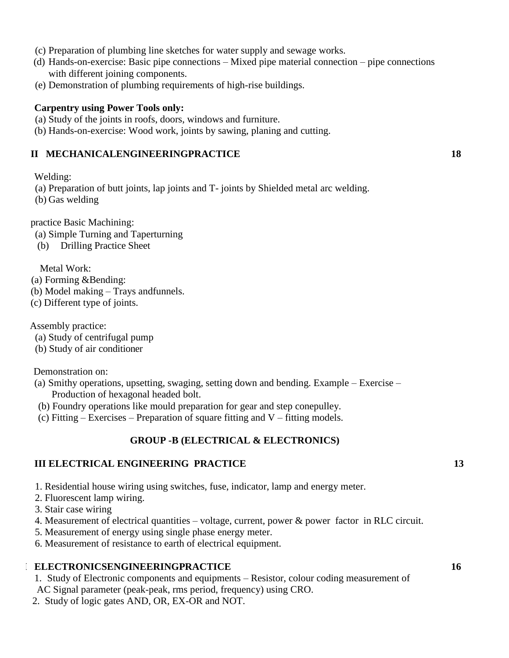- (c) Preparation of plumbing line sketches for water supply and sewage works.
- (d) Hands-on-exercise: Basic pipe connections Mixed pipe material connection pipe connections with different joining components.
- (e) Demonstration of plumbing requirements of high-rise buildings.

#### **Carpentry using Power Tools only:**

- (a) Study of the joints in roofs, doors, windows and furniture.
- (b) Hands-on-exercise: Wood work, joints by sawing, planing and cutting.

### **II MECHANICALENGINEERINGPRACTICE 18**

Welding:

(a) Preparation of butt joints, lap joints and T- joints by Shielded metal arc welding.

(b) Gas welding

practice Basic Machining:

- (a) Simple Turning and Taperturning
- (b) Drilling Practice Sheet

Metal Work:

(a) Forming &Bending:

- (b) Model making Trays andfunnels.
- (c) Different type of joints.

Assembly practice:

- (a) Study of centrifugal pump
- (b) Study of air conditioner

Demonstration on:

- (a) Smithy operations, upsetting, swaging, setting down and bending. Example Exercise Production of hexagonal headed bolt.
- (b) Foundry operations like mould preparation for gear and step conepulley.
- (c) Fitting Exercises Preparation of square fitting and  $V$  fitting models.

# **GROUP -B (ELECTRICAL & ELECTRONICS)**

### **II III ELECTRICAL ENGINEERING PRACTICE 13**

- 1. Residential house wiring using switches, fuse, indicator, lamp and energy meter.
- 2. Fluorescent lamp wiring.
- 3. Stair case wiring
- 4. Measurement of electrical quantities voltage, current, power & power factor in RLC circuit.
- 5. Measurement of energy using single phase energy meter.

6. Measurement of resistance to earth of electrical equipment.

### **III ELECTRONICSENGINEERINGPRACTICE 16**

1. Study of Electronic components and equipments – Resistor, colour coding measurement of

- AC Signal parameter (peak-peak, rms period, frequency) using CRO.
- 2. Study of logic gates AND, OR, EX-OR and NOT.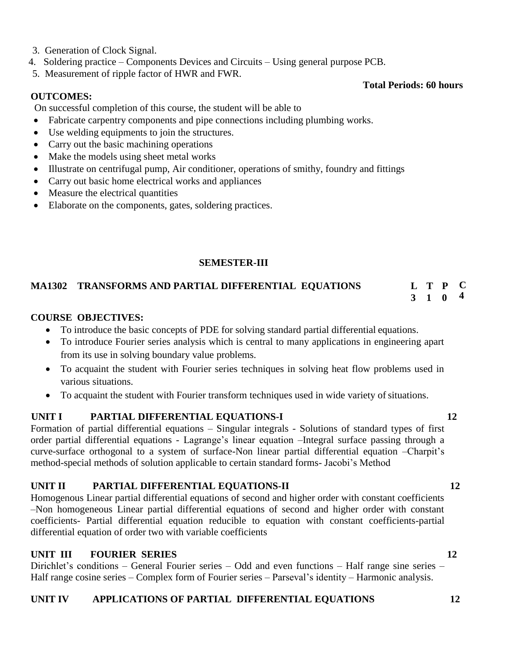- 3. Generation of Clock Signal.
- 4. Soldering practice Components Devices and Circuits Using general purpose PCB.
- 5. Measurement of ripple factor of HWR and FWR.

# **OUTCOMES:**

On successful completion of this course, the student will be able to

- Fabricate carpentry components and pipe connections including plumbing works.
- Use welding equipments to join the structures.
- Carry out the basic machining operations
- Make the models using sheet metal works
- Illustrate on centrifugal pump, Air conditioner, operations of smithy, foundry and fittings
- Carry out basic home electrical works and appliances
- Measure the electrical quantities
- Elaborate on the components, gates, soldering practices.

# **SEMESTER-III**

#### **MA1302 TRANSFORMS AND PARTIAL DIFFERENTIAL EQUATIONS T P C 4**

**COURSE OBJECTIVES:**

- To introduce the basic concepts of PDE for solving standard partial differential equations.
- To introduce Fourier series analysis which is central to many applications in engineering apart from its use in solving boundary value problems.
- To acquaint the student with Fourier series techniques in solving heat flow problems used in various situations.
- To acquaint the student with Fourier transform techniques used in wide variety of situations.

# **UNIT I PARTIAL DIFFERENTIAL EQUATIONS-I** 12

Formation of partial differential equations – Singular integrals - Solutions of standard types of first order partial differential equations - Lagrange's linear equation –Integral surface passing through a curve-surface orthogonal to a system of surface-Non linear partial differential equation –Charpit's method-special methods of solution applicable to certain standard forms- Jacobi's Method

# **UNIT II PARTIAL DIFFERENTIAL EQUATIONS-II 12**

Homogenous Linear partial differential equations of second and higher order with constant coefficients –Non homogeneous Linear partial differential equations of second and higher order with constant coefficients- Partial differential equation reducible to equation with constant coefficients-partial differential equation of order two with variable coefficients

# **UNIT III FOURIER SERIES** 12

Dirichlet's conditions – General Fourier series – Odd and even functions – Half range sine series – Half range cosine series – Complex form of Fourier series – Parseval's identity – Harmonic analysis.

# **UNIT IV APPLICATIONS OF PARTIAL DIFFERENTIAL EQUATIONS 12**

# **Total Periods: 60 hours**

**3 1 0**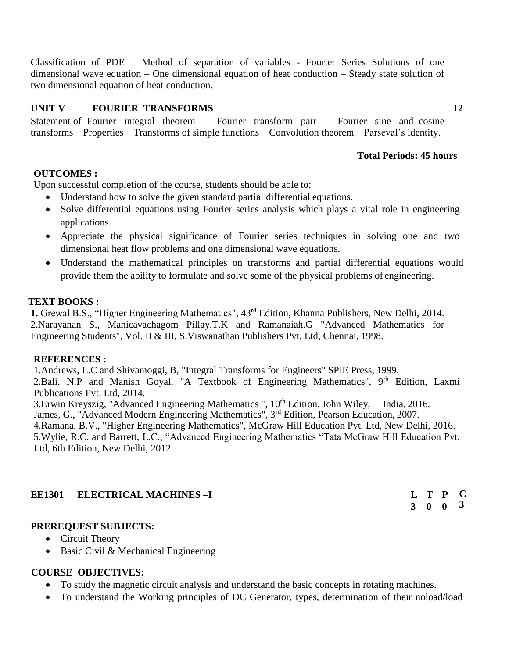Classification of PDE – Method of separation of variables - Fourier Series Solutions of one dimensional wave equation – One dimensional equation of heat conduction – Steady state solution of two dimensional equation of heat conduction.

# **UNIT V FOURIER TRANSFORMS 12**

Statement of Fourier integral theorem – Fourier transform pair – Fourier sine and cosine transforms – Properties – Transforms of simple functions – Convolution theorem – Parseval's identity.

### **Total Periods: 45 hours**

### **OUTCOMES :**

Upon successful completion of the course, students should be able to:

- Understand how to solve the given standard partial differential equations.
- Solve differential equations using Fourier series analysis which plays a vital role in engineering applications.
- Appreciate the physical significance of Fourier series techniques in solving one and two dimensional heat flow problems and one dimensional wave equations.
- Understand the mathematical principles on transforms and partial differential equations would provide them the ability to formulate and solve some of the physical problems of engineering.

#### **TEXT BOOKS :**

**1.** Grewal B.S., "Higher Engineering Mathematics"*,* 43rd Edition, Khanna Publishers, New Delhi, 2014. 1. 2.Narayanan S., Manicavachagom Pillay.T.K and Ramanaiah.G "Advanced Mathematics for Engineering Students", Vol. II & III, S.Viswanathan Publishers Pvt. Ltd, Chennai, 1998.

#### **REFERENCES :**

1. Andrews, L.C and Shivamoggi, B, "Integral Transforms for Engineers" SPIE Press, 1999. 2. Bali. N.P and Manish Goyal, "A Textbook of Engineering Mathematics",  $9<sup>th</sup>$  Edition, Laxmi Publications Pvt. Ltd, 2014.

3. 3.Erwin Kreyszig, "Advanced Engineering Mathematics "*,* 10th Edition, John Wiley, India, 2016. James, G., "Advanced Modern Engineering Mathematics", 3<sup>rd</sup> Edition, Pearson Education, 2007.

5. 4.Ramana. B.V., "Higher Engineering Mathematics"*,* McGraw Hill Education Pvt. Ltd, New Delhi, 2016. 6. 5.Wylie, R.C. and Barrett, L.C., "Advanced Engineering Mathematics "Tata McGraw Hill Education Pvt. Ltd, 6th Edition, New Delhi, 2012.

### **EE1301 ELECTRICAL MACHINES -I**

### **PREREQUEST SUBJECTS:**

- Circuit Theory
- Basic Civil & Mechanical Engineering

### **COURSE OBJECTIVES:**

- To study the magnetic circuit analysis and understand the basic concepts in rotating machines.
- To understand the Working principles of DC Generator, types, determination of their noload/load

| L | T           | $\mathbf{P}$ | C            |
|---|-------------|--------------|--------------|
| 3 | $\mathbf 0$ | 0            | $\mathbf{3}$ |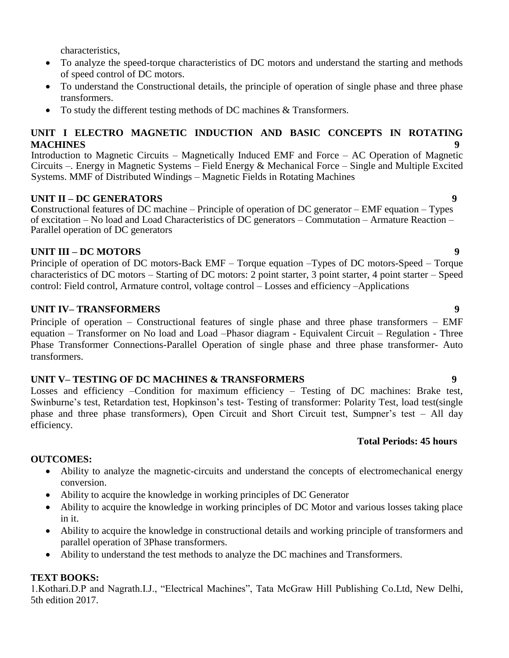characteristics,

- To analyze the speed-torque characteristics of DC motors and understand the starting and methods of speed control of DC motors.
- To understand the Constructional details, the principle of operation of single phase and three phase transformers.
- To study the different testing methods of DC machines & Transformers.

# **UNIT I ELECTRO MAGNETIC INDUCTION AND BASIC CONCEPTS IN ROTATING MACHINES 9**

Introduction to Magnetic Circuits – Magnetically Induced EMF and Force – AC Operation of Magnetic Circuits –. Energy in Magnetic Systems – Field Energy & Mechanical Force – Single and Multiple Excited Systems. MMF of Distributed Windings – Magnetic Fields in Rotating Machines

# **UNIT II – DC GENERATORS 9**

**C**onstructional features of DC machine – Principle of operation of DC generator – EMF equation – Types of excitation – No load and Load Characteristics of DC generators – Commutation – Armature Reaction – Parallel operation of DC generators

# **UNIT III – DC MOTORS 9**

Principle of operation of DC motors-Back EMF – Torque equation –Types of DC motors-Speed – Torque characteristics of DC motors – Starting of DC motors: 2 point starter, 3 point starter, 4 point starter – Speed control: Field control, Armature control, voltage control – Losses and efficiency –Applications

# **UNIT IV– TRANSFORMERS 9**

Principle of operation – Constructional features of single phase and three phase transformers – EMF equation – Transformer on No load and Load –Phasor diagram - Equivalent Circuit – Regulation - Three Phase Transformer Connections-Parallel Operation of single phase and three phase transformer- Auto transformers.

# **UNIT V– TESTING OF DC MACHINES & TRANSFORMERS 9**

Losses and efficiency –Condition for maximum efficiency – Testing of DC machines: Brake test, Swinburne's test, Retardation test, Hopkinson's test- Testing of transformer: Polarity Test, load test(single phase and three phase transformers), Open Circuit and Short Circuit test, Sumpner's test – All day efficiency.

# **Total Periods: 45 hours**

# **OUTCOMES:**

- Ability to analyze the magnetic-circuits and understand the concepts of electromechanical energy conversion.
- Ability to acquire the knowledge in working principles of DC Generator
- Ability to acquire the knowledge in working principles of DC Motor and various losses taking place in it.
- Ability to acquire the knowledge in constructional details and working principle of transformers and parallel operation of 3Phase transformers.
- Ability to understand the test methods to analyze the DC machines and Transformers.

# **TEXT BOOKS:**

1.Kothari.D.P and Nagrath.I.J., "Electrical Machines", Tata McGraw Hill Publishing Co.Ltd, New Delhi, 5th edition 2017.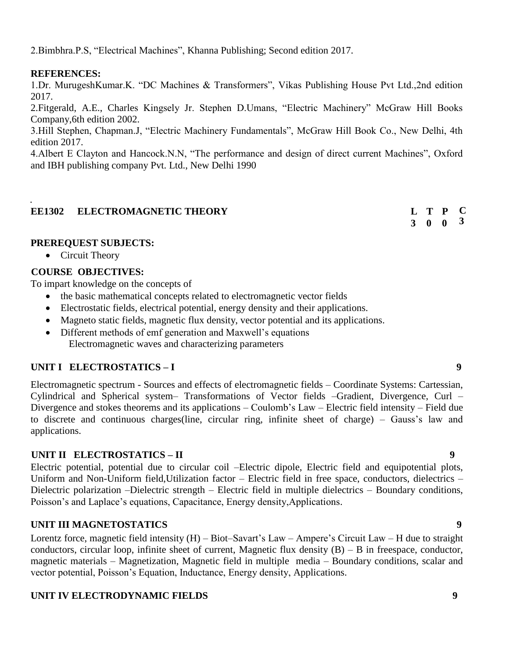2.Bimbhra.P.S, "Electrical Machines", Khanna Publishing; Second edition 2017.

# **REFERENCES:**

.

1.Dr. MurugeshKumar.K. "DC Machines & Transformers", Vikas Publishing House Pvt Ltd.,2nd edition 2017.

2.Fitgerald, A.E., Charles Kingsely Jr. Stephen D.Umans, "Electric Machinery" McGraw Hill Books Company,6th edition 2002.

3.Hill Stephen, Chapman.J, "Electric Machinery Fundamentals", McGraw Hill Book Co., New Delhi, 4th edition 2017.

4.Albert E Clayton and Hancock.N.N, "The performance and design of direct current Machines", Oxford and IBH publishing company Pvt. Ltd., New Delhi 1990

# **EE1302 ELECTROMAGNETIC THEORY L**

## **PREREQUEST SUBJECTS:**

• Circuit Theory

# **COURSE OBJECTIVES:**

To impart knowledge on the concepts of

- the basic mathematical concepts related to electromagnetic vector fields
- Electrostatic fields, electrical potential, energy density and their applications.
- Magneto static fields, magnetic flux density, vector potential and its applications.
- Different methods of emf generation and Maxwell's equations Electromagnetic waves and characterizing parameters

# **UNIT I ELECTROSTATICS – I 9**

Electromagnetic spectrum - Sources and effects of electromagnetic fields – Coordinate Systems: Cartessian, Cylindrical and Spherical system– Transformations of Vector fields –Gradient, Divergence, Curl – Divergence and stokes theorems and its applications – Coulomb's Law – Electric field intensity – Field due to discrete and continuous charges(line, circular ring, infinite sheet of charge) – Gauss's law and applications.

# **UNIT II ELECTROSTATICS – II 9**

Electric potential, potential due to circular coil –Electric dipole, Electric field and equipotential plots, Uniform and Non-Uniform field,Utilization factor – Electric field in free space, conductors, dielectrics – Dielectric polarization –Dielectric strength – Electric field in multiple dielectrics – Boundary conditions, Poisson's and Laplace's equations, Capacitance, Energy density,Applications.

# **UNIT III MAGNETOSTATICS 9**

Lorentz force, magnetic field intensity (H) – Biot–Savart's Law – Ampere's Circuit Law – H due to straight conductors, circular loop, infinite sheet of current, Magnetic flux density  $(B) - B$  in freespace, conductor, magnetic materials – Magnetization, Magnetic field in multiple media – Boundary conditions, scalar and vector potential, Poisson's Equation, Inductance, Energy density, Applications.

# **UNIT IV ELECTRODYNAMIC FIELDS 9**

**C 3**

**3 0 0 T P**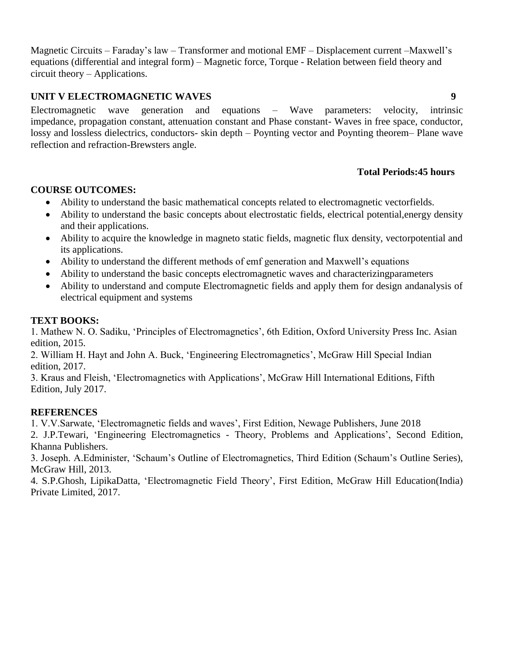Magnetic Circuits – Faraday's law – Transformer and motional EMF – Displacement current –Maxwell's equations (differential and integral form) – Magnetic force, Torque - Relation between field theory and circuit theory – Applications.

# **UNIT V ELECTROMAGNETIC WAVES 9**

Electromagnetic wave generation and equations – Wave parameters: velocity, intrinsic impedance, propagation constant, attenuation constant and Phase constant- Waves in free space, conductor, lossy and lossless dielectrics, conductors- skin depth – Poynting vector and Poynting theorem– Plane wave reflection and refraction-Brewsters angle.

# **Total Periods:45 hours**

# **COURSE OUTCOMES:**

- Ability to understand the basic mathematical concepts related to electromagnetic vectorfields.
- Ability to understand the basic concepts about electrostatic fields, electrical potential,energy density and their applications.
- Ability to acquire the knowledge in magneto static fields, magnetic flux density, vectorpotential and its applications.
- Ability to understand the different methods of emf generation and Maxwell's equations
- Ability to understand the basic concepts electromagnetic waves and characterizingparameters
- Ability to understand and compute Electromagnetic fields and apply them for design andanalysis of electrical equipment and systems

# **TEXT BOOKS:**

1. Mathew N. O. Sadiku, 'Principles of Electromagnetics', 6th Edition, Oxford University Press Inc. Asian edition, 2015.

2. William H. Hayt and John A. Buck, 'Engineering Electromagnetics', McGraw Hill Special Indian edition, 2017.

3. Kraus and Fleish, 'Electromagnetics with Applications', McGraw Hill International Editions, Fifth Edition, July 2017.

# **REFERENCES**

1. V.V.Sarwate, 'Electromagnetic fields and waves', First Edition, Newage Publishers, June 2018

2. J.P.Tewari, 'Engineering Electromagnetics - Theory, Problems and Applications', Second Edition, Khanna Publishers.

3. Joseph. A.Edminister, 'Schaum's Outline of Electromagnetics, Third Edition (Schaum's Outline Series), McGraw Hill, 2013.

4. S.P.Ghosh, LipikaDatta, 'Electromagnetic Field Theory', First Edition, McGraw Hill Education(India) Private Limited, 2017.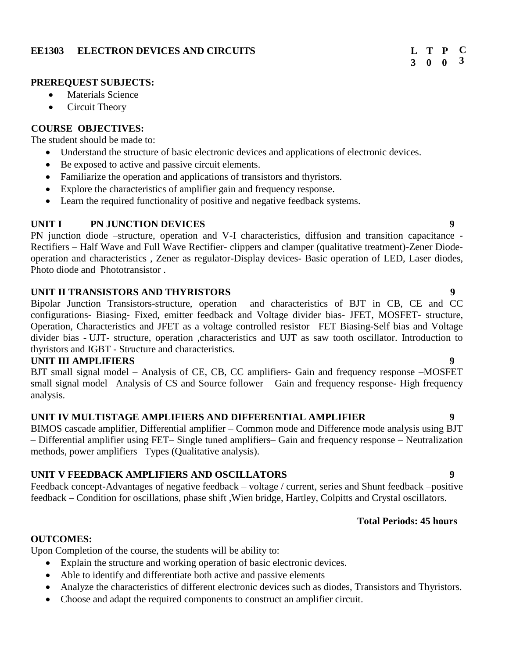# **EE1303 ELECTRON DEVICES AND CIRCUITS**

#### **3 0 0 T P C 3**

### **PREREQUEST SUBJECTS:**

- Materials Science
- Circuit Theory

# **COURSE OBJECTIVES:**

The student should be made to:

- Understand the structure of basic electronic devices and applications of electronic devices.
- Be exposed to active and passive circuit elements.
- Familiarize the operation and applications of transistors and thyristors.
- Explore the characteristics of amplifier gain and frequency response.
- Learn the required functionality of positive and negative feedback systems.

# **UNIT I PN JUNCTION DEVICES 9**

PN junction diode –structure, operation and V-I characteristics, diffusion and transition capacitance - Rectifiers – Half Wave and Full Wave Rectifier- clippers and clamper (qualitative treatment)-Zener Diodeoperation and characteristics , Zener as regulator-Display devices- Basic operation of LED, Laser diodes, Photo diode and Phototransistor .

# **UNIT II TRANSISTORS AND THYRISTORS 9**

Bipolar Junction Transistors-structure, operation and characteristics of BJT in CB, CE and CC configurations- Biasing- Fixed, emitter feedback and Voltage divider bias- JFET, MOSFET- structure, Operation, Characteristics and JFET as a voltage controlled resistor –FET Biasing-Self bias and Voltage divider bias - UJT- structure, operation ,characteristics and UJT as saw tooth oscillator. Introduction to thyristors and IGBT - Structure and characteristics.

# **UNIT III AMPLIFIERS 9**

BJT small signal model – Analysis of CE, CB, CC amplifiers- Gain and frequency response –MOSFET small signal model– Analysis of CS and Source follower – Gain and frequency response- High frequency analysis.

# **UNIT IV MULTISTAGE AMPLIFIERS AND DIFFERENTIAL AMPLIFIER 9**

BIMOS cascade amplifier, Differential amplifier – Common mode and Difference mode analysis using BJT – Differential amplifier using FET– Single tuned amplifiers– Gain and frequency response – Neutralization methods, power amplifiers –Types (Qualitative analysis).

# **UNIT V FEEDBACK AMPLIFIERS AND OSCILLATORS 9**

Feedback concept-Advantages of negative feedback – voltage / current, series and Shunt feedback –positive feedback – Condition for oscillations, phase shift ,Wien bridge, Hartley, Colpitts and Crystal oscillators.

# **Total Periods: 45 hours**

# **OUTCOMES:**

Upon Completion of the course, the students will be ability to:

- Explain the structure and working operation of basic electronic devices.
- Able to identify and differentiate both active and passive elements
- Analyze the characteristics of different electronic devices such as diodes, Transistors and Thyristors.
- Choose and adapt the required components to construct an amplifier circuit.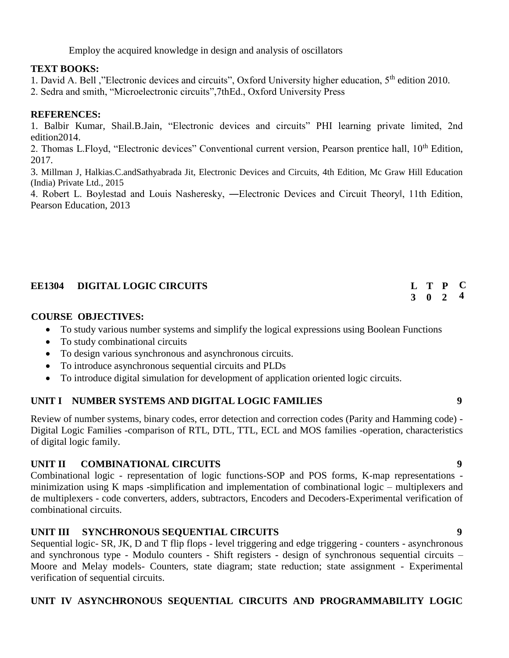Employ the acquired knowledge in design and analysis of oscillators

# **TEXT BOOKS:**

1. David A. Bell ,"Electronic devices and circuits", Oxford University higher education, 5<sup>th</sup> edition 2010.

2. Sedra and smith, "Microelectronic circuits",7thEd., Oxford University Press

# **REFERENCES:**

1. Balbir Kumar, Shail.B.Jain, "Electronic devices and circuits" PHI learning private limited, 2nd edition2014.

2. Thomas L.Floyd, "Electronic devices" Conventional current version, Pearson prentice hall, 10<sup>th</sup> Edition, 2017.

3. Millman J, Halkias.C.andSathyabrada Jit, Electronic Devices and Circuits, 4th Edition, Mc Graw Hill Education (India) Private Ltd., 2015

4. Robert L. Boylestad and Louis Nasheresky, —Electronic Devices and Circuit Theoryl, 11th Edition, Pearson Education, 2013

| <b>EE1304 DIGITAL LOGIC CIRCUITS</b> |                 | L T P C |  |
|--------------------------------------|-----------------|---------|--|
|                                      | $3 \t0 \t2 \t4$ |         |  |

# **COURSE OBJECTIVES:**

- To study various number systems and simplify the logical expressions using Boolean Functions
- To study combinational circuits
- To design various synchronous and asynchronous circuits.
- To introduce asynchronous sequential circuits and PLDs
- To introduce digital simulation for development of application oriented logic circuits.

# **UNIT I NUMBER SYSTEMS AND DIGITAL LOGIC FAMILIES 9**

Review of number systems, binary codes, error detection and correction codes (Parity and Hamming code) - Digital Logic Families -comparison of RTL, DTL, TTL, ECL and MOS families -operation, characteristics of digital logic family.

# **UNIT II COMBINATIONAL CIRCUITS 9**

Combinational logic - representation of logic functions-SOP and POS forms, K-map representations minimization using K maps -simplification and implementation of combinational logic – multiplexers and de multiplexers - code converters, adders, subtractors, Encoders and Decoders-Experimental verification of combinational circuits.

# **UNIT III SYNCHRONOUS SEQUENTIAL CIRCUITS 9**

Sequential logic- SR, JK, D and T flip flops - level triggering and edge triggering - counters - asynchronous and synchronous type - Modulo counters - Shift registers - design of synchronous sequential circuits – Moore and Melay models- Counters, state diagram; state reduction; state assignment - Experimental verification of sequential circuits.

# **UNIT IV ASYNCHRONOUS SEQUENTIAL CIRCUITS AND PROGRAMMABILITY LOGIC**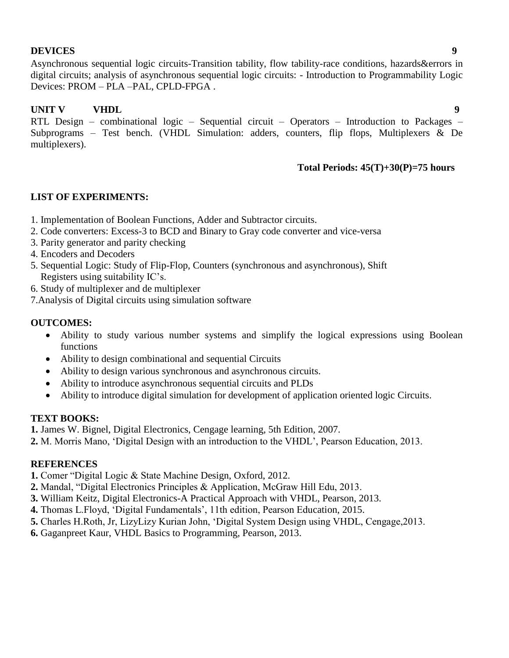# **DEVICES 9**

Asynchronous sequential logic circuits-Transition tability, flow tability-race conditions, hazards&errors in digital circuits; analysis of asynchronous sequential logic circuits: - Introduction to Programmability Logic Devices: PROM – PLA –PAL, CPLD-FPGA .

# **UNIT V VHDL 9**

RTL Design – combinational logic – Sequential circuit – Operators – Introduction to Packages – Subprograms – Test bench. (VHDL Simulation: adders, counters, flip flops, Multiplexers & De multiplexers).

# **Total Periods: 45(T)+30(P)=75 hours**

# **LIST OF EXPERIMENTS:**

- 1. Implementation of Boolean Functions, Adder and Subtractor circuits.
- 2. Code converters: Excess-3 to BCD and Binary to Gray code converter and vice-versa
- 3. Parity generator and parity checking
- 4. Encoders and Decoders
- 5. Sequential Logic: Study of Flip-Flop, Counters (synchronous and asynchronous), Shift Registers using suitability IC's.
- 6. Study of multiplexer and de multiplexer
- 7.Analysis of Digital circuits using simulation software

# **OUTCOMES:**

- Ability to study various number systems and simplify the logical expressions using Boolean functions
- Ability to design combinational and sequential Circuits
- Ability to design various synchronous and asynchronous circuits.
- Ability to introduce asynchronous sequential circuits and PLDs
- Ability to introduce digital simulation for development of application oriented logic Circuits.

# **TEXT BOOKS:**

**1.** James W. Bignel, Digital Electronics, Cengage learning, 5th Edition, 2007.

**2.** M. Morris Mano, 'Digital Design with an introduction to the VHDL', Pearson Education, 2013.

# **REFERENCES**

**1.** Comer "Digital Logic & State Machine Design, Oxford, 2012.

- **2.** Mandal, "Digital Electronics Principles & Application, McGraw Hill Edu, 2013.
- **3.** William Keitz, Digital Electronics-A Practical Approach with VHDL, Pearson, 2013.
- **4.** Thomas L.Floyd, 'Digital Fundamentals', 11th edition, Pearson Education, 2015.
- **5.** Charles H.Roth, Jr, LizyLizy Kurian John, 'Digital System Design using VHDL, Cengage,2013.
- **6.** Gaganpreet Kaur, VHDL Basics to Programming, Pearson, 2013.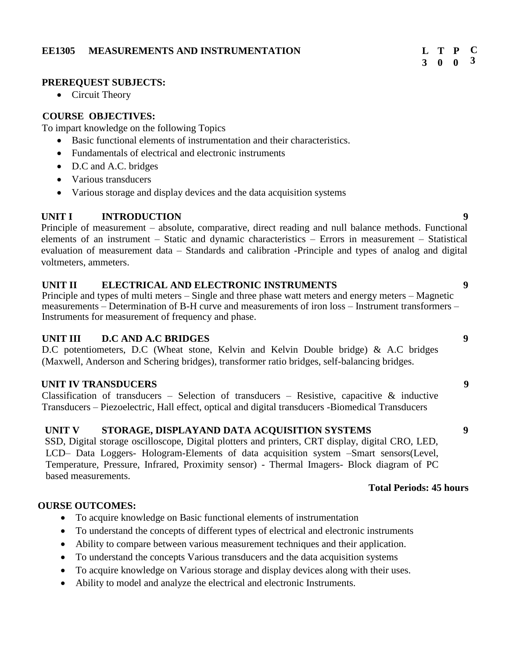### **EE1305 MEASUREMENTS AND INSTRUMENTATION L**

### **PREREQUEST SUBJECTS:**

• Circuit Theory

# **COURSE OBJECTIVES:**

To impart knowledge on the following Topics

- Basic functional elements of instrumentation and their characteristics.
- Fundamentals of electrical and electronic instruments
- D.C and A.C. bridges
- Various transducers
- Various storage and display devices and the data acquisition systems

# **UNIT I** INTRODUCTION 9

Principle of measurement – absolute, comparative, direct reading and null balance methods. Functional elements of an instrument – Static and dynamic characteristics – Errors in measurement – Statistical evaluation of measurement data – Standards and calibration -Principle and types of analog and digital voltmeters, ammeters.

### **UNIT II ELECTRICAL AND ELECTRONIC INSTRUMENTS 9**

Principle and types of multi meters – Single and three phase watt meters and energy meters – Magnetic measurements – Determination of B-H curve and measurements of iron loss – Instrument transformers – Instruments for measurement of frequency and phase.

# **UNIT III D.C AND A.C BRIDGES 9**

D.C potentiometers, D.C (Wheat stone, Kelvin and Kelvin Double bridge) & A.C bridges (Maxwell, Anderson and Schering bridges), transformer ratio bridges, self-balancing bridges.

# **UNIT IV TRANSDUCERS 9**

Classification of transducers – Selection of transducers – Resistive, capacitive  $\&$  inductive Transducers – Piezoelectric, Hall effect, optical and digital transducers -Biomedical Transducers

# **UNIT V STORAGE, DISPLAYAND DATA ACQUISITION SYSTEMS 9**

SSD, Digital storage oscilloscope, Digital plotters and printers, CRT display, digital CRO, LED, LCD– Data Loggers- Hologram-Elements of data acquisition system –Smart sensors(Level, Temperature, Pressure, Infrared, Proximity sensor) - Thermal Imagers- Block diagram of PC based measurements.

### **COURSE OUTCOMES:**

- To acquire knowledge on Basic functional elements of instrumentation
- To understand the concepts of different types of electrical and electronic instruments
- Ability to compare between various measurement techniques and their application.
- To understand the concepts Various transducers and the data acquisition systems
- To acquire knowledge on Various storage and display devices along with their uses.
- Ability to model and analyze the electrical and electronic Instruments.

 **Total Periods: 45 hours**

#### **3 0 0 T P C 3**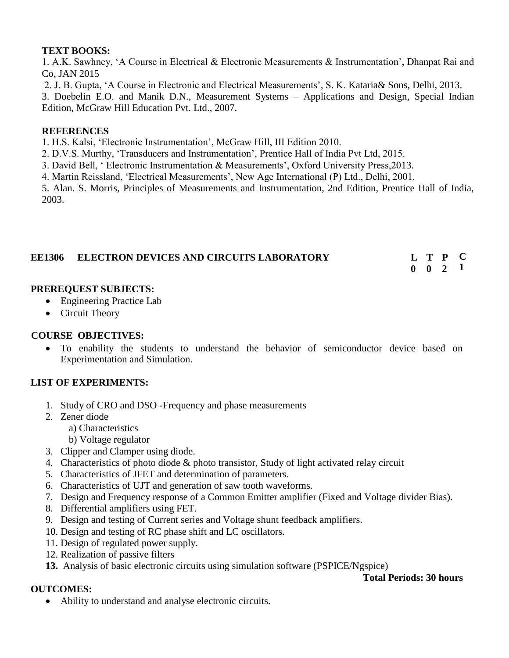# **TEXT BOOKS:**

1. A.K. Sawhney, 'A Course in Electrical & Electronic Measurements & Instrumentation', Dhanpat Rai and Co, JAN 2015

2. J. B. Gupta, 'A Course in Electronic and Electrical Measurements', S. K. Kataria& Sons, Delhi, 2013.

3. Doebelin E.O. and Manik D.N., Measurement Systems – Applications and Design, Special Indian Edition, McGraw Hill Education Pvt. Ltd., 2007.

# **REFERENCES**

1. H.S. Kalsi, 'Electronic Instrumentation', McGraw Hill, III Edition 2010.

2. D.V.S. Murthy, 'Transducers and Instrumentation', Prentice Hall of India Pvt Ltd, 2015.

3. David Bell, ' Electronic Instrumentation & Measurements', Oxford University Press,2013.

4. Martin Reissland, 'Electrical Measurements', New Age International (P) Ltd., Delhi, 2001.

5. Alan. S. Morris, Principles of Measurements and Instrumentation, 2nd Edition, Prentice Hall of India, 2003.

| <b>EE1306 ELECTRON DEVICES AND CIRCUITS LABORATORY</b> |                    | L T P C |  |
|--------------------------------------------------------|--------------------|---------|--|
|                                                        | $0 \t 0 \t 2 \t 1$ |         |  |

# **PREREQUEST SUBJECTS:**

- Engineering Practice Lab
- Circuit Theory

# **COURSE OBJECTIVES:**

 To enability the students to understand the behavior of semiconductor device based on Experimentation and Simulation.

# **LIST OF EXPERIMENTS:**

- 1. Study of CRO and DSO -Frequency and phase measurements
- 2. Zener diode

**OUTCOMES:**

- a) Characteristics
- b) Voltage regulator
- 3. Clipper and Clamper using diode.
- 4. Characteristics of photo diode & photo transistor, Study of light activated relay circuit
- 5. Characteristics of JFET and determination of parameters.
- 6. Characteristics of UJT and generation of saw tooth waveforms.
- 7. Design and Frequency response of a Common Emitter amplifier (Fixed and Voltage divider Bias).
- 8. Differential amplifiers using FET.
- 9. Design and testing of Current series and Voltage shunt feedback amplifiers.
- 10. Design and testing of RC phase shift and LC oscillators.
- 11. Design of regulated power supply.
- 12. Realization of passive filters
- **13.** Analysis of basic electronic circuits using simulation software (PSPICE/Ngspice)

## **Total Periods: 30 hours**

Ability to understand and analyse electronic circuits.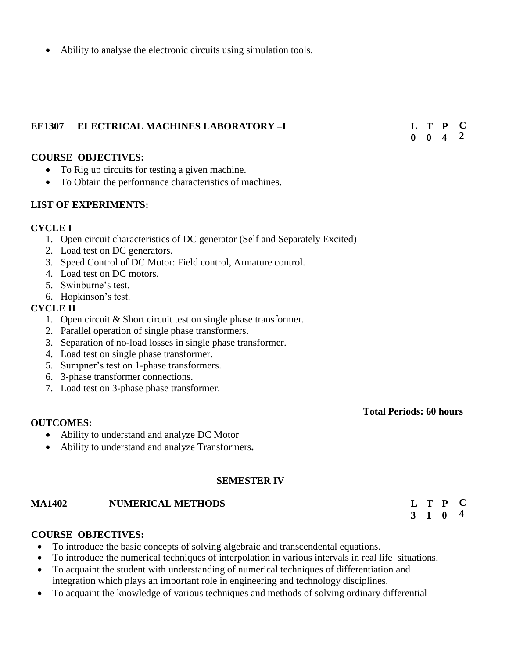Ability to analyse the electronic circuits using simulation tools.

#### **EE1307 ELECTRICAL MACHINES LABORATORY –I**

**0 0 4 T P C 2**

#### **COURSE OBJECTIVES:**

- To Rig up circuits for testing a given machine.
- To Obtain the performance characteristics of machines.

### **LIST OF EXPERIMENTS:**

#### **CYCLE I**

- 1. Open circuit characteristics of DC generator (Self and Separately Excited)
- 2. Load test on DC generators.
- 3. Speed Control of DC Motor: Field control, Armature control.
- 4. Load test on DC motors.
- 5. Swinburne's test.
- 6. Hopkinson's test.

### **CYCLE II**

- 1. Open circuit & Short circuit test on single phase transformer.
- 2. Parallel operation of single phase transformers.
- 3. Separation of no-load losses in single phase transformer.
- 4. Load test on single phase transformer.
- 5. Sumpner's test on 1-phase transformers.
- 6. 3-phase transformer connections.
- 7. Load test on 3-phase phase transformer.

# **Total Periods: 60 hours**

### **OUTCOMES:**

- Ability to understand and analyze DC Motor
- Ability to understand and analyze Transformers**.**

### **SEMESTER IV**

#### **MA1402 NUMERICAL METHODS L**

#### **3 1 0 T P C 4**

### **COURSE OBJECTIVES:**

- To introduce the basic concepts of solving algebraic and transcendental equations.
- To introduce the numerical techniques of interpolation in various intervals in real life situations.
- To acquaint the student with understanding of numerical techniques of differentiation and integration which plays an important role in engineering and technology disciplines.
- To acquaint the knowledge of various techniques and methods of solving ordinary differential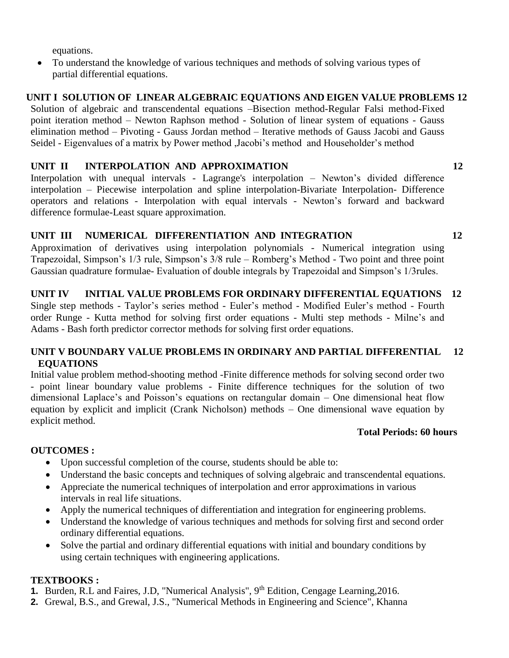equations.

 To understand the knowledge of various techniques and methods of solving various types of partial differential equations.

# **UNIT I SOLUTION OF LINEAR ALGEBRAIC EQUATIONS AND EIGEN VALUE PROBLEMS 12**

Solution of algebraic and transcendental equations –Bisection method-Regular Falsi method-Fixed point iteration method – Newton Raphson method - Solution of linear system of equations - Gauss elimination method – Pivoting - Gauss Jordan method – Iterative methods of Gauss Jacobi and Gauss Seidel - Eigenvalues of a matrix by Power method ,Jacobi's method and Householder's method

# **UNIT II INTERPOLATION AND APPROXIMATION 12**

Interpolation with unequal intervals - Lagrange's interpolation – Newton's divided difference interpolation – Piecewise interpolation and spline interpolation-Bivariate Interpolation- Difference operators and relations - Interpolation with equal intervals - Newton's forward and backward difference formulae-Least square approximation.

# **UNIT III NUMERICAL DIFFERENTIATION AND INTEGRATION 12**

Approximation of derivatives using interpolation polynomials - Numerical integration using Trapezoidal, Simpson's 1/3 rule, Simpson's 3/8 rule – Romberg's Method - Two point and three point Gaussian quadrature formulae- Evaluation of double integrals by Trapezoidal and Simpson's 1/3rules.

# **UNIT IV INITIAL VALUE PROBLEMS FOR ORDINARY DIFFERENTIAL EQUATIONS 12**

Single step methods - Taylor's series method - Euler's method - Modified Euler's method - Fourth order Runge - Kutta method for solving first order equations - Multi step methods - Milne's and Adams - Bash forth predictor corrector methods for solving first order equations.

# **UNIT V BOUNDARY VALUE PROBLEMS IN ORDINARY AND PARTIAL DIFFERENTIAL 12 EQUATIONS**

Initial value problem method-shooting method -Finite difference methods for solving second order two - point linear boundary value problems - Finite difference techniques for the solution of two dimensional Laplace's and Poisson's equations on rectangular domain – One dimensional heat flow equation by explicit and implicit (Crank Nicholson) methods – One dimensional wave equation by explicit method.

# **Total Periods: 60 hours**

# **OUTCOMES :**

- Upon successful completion of the course, students should be able to:
- Understand the basic concepts and techniques of solving algebraic and transcendental equations.
- Appreciate the numerical techniques of interpolation and error approximations in various intervals in real life situations.
- Apply the numerical techniques of differentiation and integration for engineering problems.
- Understand the knowledge of various techniques and methods for solving first and second order ordinary differential equations.
- Solve the partial and ordinary differential equations with initial and boundary conditions by using certain techniques with engineering applications.

# **TEXTBOOKS :**

- **1.** Burden, R.L and Faires, J.D, "Numerical Analysis", 9<sup>th</sup> Edition, Cengage Learning, 2016.
- **2.** Grewal, B.S., and Grewal, J.S., "Numerical Methods in Engineering and Science", Khanna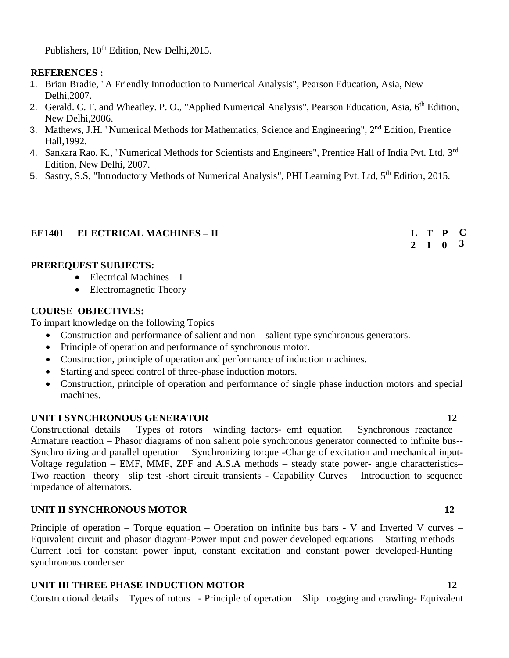Publishers,  $10^{th}$  Edition, New Delhi, 2015.

# **REFERENCES :**

- 1. Brian Bradie, "A Friendly Introduction to Numerical Analysis", Pearson Education, Asia, New Delhi,2007.
- 2. Gerald. C. F. and Wheatley. P. O., "Applied Numerical Analysis", Pearson Education, Asia, 6<sup>th</sup> Edition, New Delhi,2006.
- 3. Mathews, J.H. "Numerical Methods for Mathematics, Science and Engineering", 2<sup>nd</sup> Edition, Prentice Hall,1992.
- 4. Sankara Rao. K., "Numerical Methods for Scientists and Engineers", Prentice Hall of India Pvt. Ltd, 3<sup>rd</sup> Edition, New Delhi, 2007.
- 5. Sastry, S.S. "Introductory Methods of Numerical Analysis", PHI Learning Pvt. Ltd, 5<sup>th</sup> Edition, 2015.

# **EE1401 ELECTRICAL MACHINES – II**

## **PREREQUEST SUBJECTS:**

- $\bullet$  Electrical Machines I
- Electromagnetic Theory

# **COURSE OBJECTIVES:**

To impart knowledge on the following Topics

- Construction and performance of salient and non salient type synchronous generators.
- Principle of operation and performance of synchronous motor.
- Construction, principle of operation and performance of induction machines.
- Starting and speed control of three-phase induction motors.
- Construction, principle of operation and performance of single phase induction motors and special machines.

# **UNIT I SYNCHRONOUS GENERATOR 12**

Constructional details – Types of rotors –winding factors- emf equation – Synchronous reactance – Armature reaction – Phasor diagrams of non salient pole synchronous generator connected to infinite bus-- Synchronizing and parallel operation – Synchronizing torque -Change of excitation and mechanical input-Voltage regulation – EMF, MMF, ZPF and A.S.A methods – steady state power- angle characteristics– Two reaction theory –slip test -short circuit transients - Capability Curves – Introduction to sequence impedance of alternators.

# **UNIT II SYNCHRONOUS MOTOR 12**

Principle of operation – Torque equation – Operation on infinite bus bars - V and Inverted V curves – Equivalent circuit and phasor diagram-Power input and power developed equations – Starting methods – Current loci for constant power input, constant excitation and constant power developed-Hunting – synchronous condenser.

# **UNIT III THREE PHASE INDUCTION MOTOR 12**

Constructional details – Types of rotors –- Principle of operation – Slip –cogging and crawling- Equivalent

**2 1 0**

**T P C**

**3**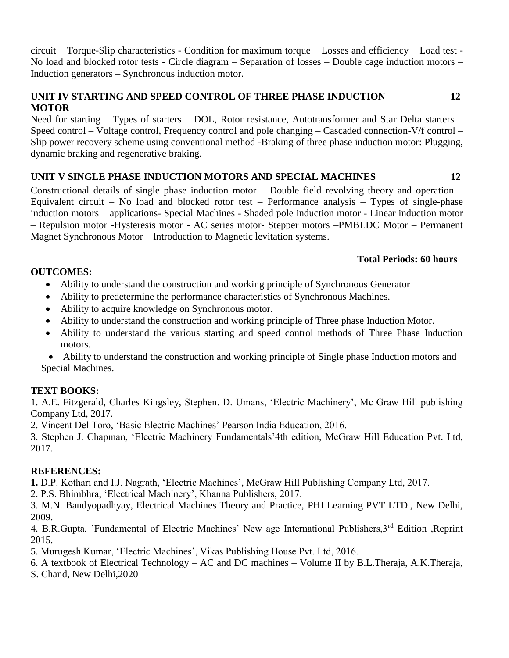circuit – Torque-Slip characteristics - Condition for maximum torque – Losses and efficiency – Load test - No load and blocked rotor tests - Circle diagram – Separation of losses – Double cage induction motors – Induction generators – Synchronous induction motor.

# **UNIT IV STARTING AND SPEED CONTROL OF THREE PHASE INDUCTION 12 MOTOR**

Need for starting – Types of starters – DOL, Rotor resistance, Autotransformer and Star Delta starters – Speed control – Voltage control, Frequency control and pole changing – Cascaded connection-V/f control – Slip power recovery scheme using conventional method -Braking of three phase induction motor: Plugging, dynamic braking and regenerative braking.

# **UNIT V SINGLE PHASE INDUCTION MOTORS AND SPECIAL MACHINES 12**

Constructional details of single phase induction motor – Double field revolving theory and operation – Equivalent circuit – No load and blocked rotor test – Performance analysis – Types of single-phase induction motors – applications- Special Machines - Shaded pole induction motor - Linear induction motor – Repulsion motor -Hysteresis motor - AC series motor- Stepper motors –PMBLDC Motor – Permanent Magnet Synchronous Motor – Introduction to Magnetic levitation systems.

# **Total Periods: 60 hours**

# **OUTCOMES:**

- Ability to understand the construction and working principle of Synchronous Generator
- Ability to predetermine the performance characteristics of Synchronous Machines.
- Ability to acquire knowledge on Synchronous motor.
- Ability to understand the construction and working principle of Three phase Induction Motor.
- Ability to understand the various starting and speed control methods of Three Phase Induction motors.

 Ability to understand the construction and working principle of Single phase Induction motors and Special Machines.

# **TEXT BOOKS:**

1. A.E. Fitzgerald, Charles Kingsley, Stephen. D. Umans, 'Electric Machinery', Mc Graw Hill publishing Company Ltd, 2017.

2. Vincent Del Toro, 'Basic Electric Machines' Pearson India Education, 2016.

3. Stephen J. Chapman, 'Electric Machinery Fundamentals'4th edition, McGraw Hill Education Pvt. Ltd, 2017.

# **REFERENCES:**

**1.** D.P. Kothari and I.J. Nagrath, 'Electric Machines', McGraw Hill Publishing Company Ltd, 2017.

2. P.S. Bhimbhra, 'Electrical Machinery', Khanna Publishers, 2017.

3. M.N. Bandyopadhyay, Electrical Machines Theory and Practice, PHI Learning PVT LTD., New Delhi, 2009.

4. B.R.Gupta, 'Fundamental of Electric Machines' New age International Publishers, 3<sup>rd</sup> Edition , Reprint 2015.

5. Murugesh Kumar, 'Electric Machines', Vikas Publishing House Pvt. Ltd, 2016.

6. A textbook of Electrical Technology – AC and DC machines – Volume II by B.L.Theraja, A.K.Theraja,

S. Chand, New Delhi,2020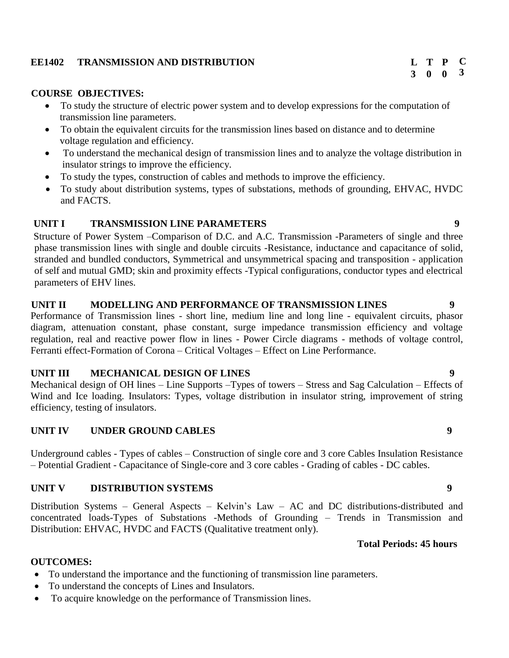## **EE1402 TRANSMISSION AND DISTRIBUTION**

#### **COURSE OBJECTIVES:**

- To study the structure of electric power system and to develop expressions for the computation of transmission line parameters.
- To obtain the equivalent circuits for the transmission lines based on distance and to determine voltage regulation and efficiency.
- To understand the mechanical design of transmission lines and to analyze the voltage distribution in insulator strings to improve the efficiency.
- To study the types, construction of cables and methods to improve the efficiency.
- To study about distribution systems, types of substations, methods of grounding, EHVAC, HVDC and FACTS.

# **UNIT I TRANSMISSION LINE PARAMETERS 9**

Structure of Power System –Comparison of D.C. and A.C. Transmission -Parameters of single and three phase transmission lines with single and double circuits -Resistance, inductance and capacitance of solid, stranded and bundled conductors, Symmetrical and unsymmetrical spacing and transposition - application of self and mutual GMD; skin and proximity effects -Typical configurations, conductor types and electrical parameters of EHV lines.

#### **UNIT II MODELLING AND PERFORMANCE OF TRANSMISSION LINES 9**

Performance of Transmission lines - short line, medium line and long line - equivalent circuits, phasor diagram, attenuation constant, phase constant, surge impedance transmission efficiency and voltage regulation, real and reactive power flow in lines - Power Circle diagrams - methods of voltage control, Ferranti effect-Formation of Corona – Critical Voltages – Effect on Line Performance.

#### **UNIT III MECHANICAL DESIGN OF LINES 9**

Mechanical design of OH lines – Line Supports –Types of towers – Stress and Sag Calculation – Effects of Wind and Ice loading. Insulators: Types, voltage distribution in insulator string, improvement of string efficiency, testing of insulators.

# **UNIT IV UNDER GROUND CABLES 9**

Underground cables - Types of cables – Construction of single core and 3 core Cables Insulation Resistance – Potential Gradient - Capacitance of Single-core and 3 core cables - Grading of cables - DC cables.

#### **UNIT V DISTRIBUTION SYSTEMS 9**

Distribution Systems – General Aspects – Kelvin's Law – AC and DC distributions-distributed and concentrated loads-Types of Substations -Methods of Grounding – Trends in Transmission and Distribution: EHVAC, HVDC and FACTS (Qualitative treatment only).

#### **Total Periods: 45 hours**

#### **OUTCOMES:**

- To understand the importance and the functioning of transmission line parameters.
- To understand the concepts of Lines and Insulators.
- To acquire knowledge on the performance of Transmission lines.

**C 3**

**3 0 0 T P**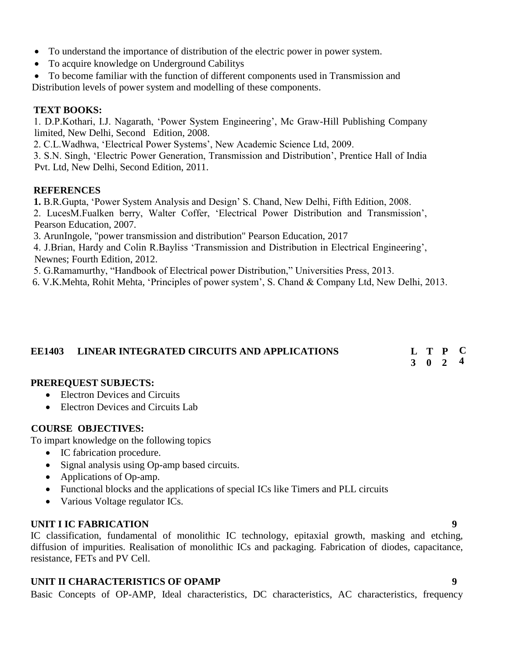- To understand the importance of distribution of the electric power in power system.
- To acquire knowledge on Underground Cabilitys

 To become familiar with the function of different components used in Transmission and Distribution levels of power system and modelling of these components.

### **TEXT BOOKS:**

1. D.P.Kothari, I.J. Nagarath, 'Power System Engineering', Mc Graw-Hill Publishing Company limited, New Delhi, Second Edition, 2008.

2. C.L.Wadhwa, 'Electrical Power Systems', New Academic Science Ltd, 2009.

3. S.N. Singh, 'Electric Power Generation, Transmission and Distribution', Prentice Hall of India Pvt. Ltd, New Delhi, Second Edition, 2011.

#### **REFERENCES**

**1.** B.R.Gupta, 'Power System Analysis and Design' S. Chand, New Delhi, Fifth Edition, 2008.

2. LucesM.Fualken berry, Walter Coffer, 'Electrical Power Distribution and Transmission', Pearson Education, 2007.

3. ArunIngole, "power transmission and distribution" Pearson Education, 2017

4. J.Brian, Hardy and Colin R.Bayliss 'Transmission and Distribution in Electrical Engineering', Newnes; Fourth Edition, 2012.

5. G.Ramamurthy, "Handbook of Electrical power Distribution," Universities Press, 2013.

6. V.K.Mehta, Rohit Mehta, 'Principles of power system', S. Chand & Company Ltd, New Delhi, 2013.

#### **EE1403 LINEAR INTEGRATED CIRCUITS AND APPLICATIONS T P C**

#### **3 0 2 4**

### **PREREQUEST SUBJECTS:**

- Electron Devices and Circuits
- Electron Devices and Circuits Lab

### **COURSE OBJECTIVES:**

To impart knowledge on the following topics

- IC fabrication procedure.
- Signal analysis using Op-amp based circuits.
- Applications of Op-amp.
- Functional blocks and the applications of special ICs like Timers and PLL circuits
- Various Voltage regulator ICs.

### **UNIT I IC FABRICATION 9**

IC classification, fundamental of monolithic IC technology, epitaxial growth, masking and etching, diffusion of impurities. Realisation of monolithic ICs and packaging. Fabrication of diodes, capacitance, resistance, FETs and PV Cell.

# **UNIT II CHARACTERISTICS OF OPAMP 9**

Basic Concepts of OP-AMP, Ideal characteristics, DC characteristics, AC characteristics, frequency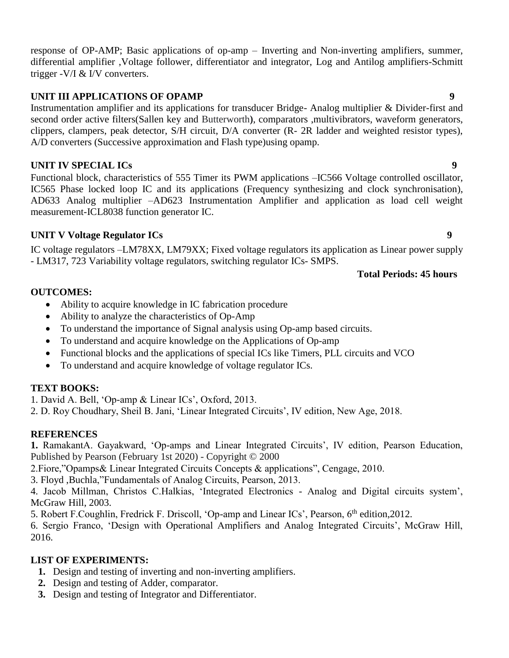# response of OP-AMP; Basic applications of op-amp – Inverting and Non-inverting amplifiers, summer, differential amplifier ,Voltage follower, differentiator and integrator, Log and Antilog amplifiers-Schmitt trigger -V/I & I/V converters.

# **UNIT III APPLICATIONS OF OPAMP** 9

Instrumentation amplifier and its applications for transducer Bridge- Analog multiplier & Divider-first and second order active filters(Sallen key and Butterworth), comparators ,multivibrators, waveform generators, clippers, clampers, peak detector, S/H circuit, D/A converter (R- 2R ladder and weighted resistor types), A/D converters (Successive approximation and Flash type)using opamp.

# **UNIT IV SPECIAL ICs 9**

Functional block, characteristics of 555 Timer its PWM applications –IC566 Voltage controlled oscillator, IC565 Phase locked loop IC and its applications (Frequency synthesizing and clock synchronisation), AD633 Analog multiplier –AD623 Instrumentation Amplifier and application as load cell weight measurement-ICL8038 function generator IC.

# **UNIT V Voltage Regulator ICs 9**

IC voltage regulators –LM78XX, LM79XX; Fixed voltage regulators its application as Linear power supply - LM317, 723 Variability voltage regulators, switching regulator ICs- SMPS.

# **Total Periods: 45 hours**

# **OUTCOMES:**

- Ability to acquire knowledge in IC fabrication procedure
- Ability to analyze the characteristics of Op-Amp
- To understand the importance of Signal analysis using Op-amp based circuits.
- To understand and acquire knowledge on the Applications of Op-amp
- Functional blocks and the applications of special ICs like Timers, PLL circuits and VCO
- To understand and acquire knowledge of voltage regulator ICs.

# **TEXT BOOKS:**

1. David A. Bell, 'Op-amp & Linear ICs', Oxford, 2013.

2. D. Roy Choudhary, Sheil B. Jani, 'Linear Integrated Circuits', IV edition, New Age, 2018.

# **REFERENCES**

**1.** RamakantA. Gayakward, 'Op-amps and Linear Integrated Circuits', IV edition, Pearson Education, Published by Pearson (February 1st 2020) - Copyright © 2000

2.Fiore,"Opamps& Linear Integrated Circuits Concepts & applications", Cengage, 2010.

3. Floyd ,Buchla,"Fundamentals of Analog Circuits, Pearson, 2013.

4. Jacob Millman, Christos C.Halkias, 'Integrated Electronics - Analog and Digital circuits system', McGraw Hill, 2003.

5. Robert F. Coughlin, Fredrick F. Driscoll, 'Op-amp and Linear ICs', Pearson, 6<sup>th</sup> edition, 2012.

6. Sergio Franco, 'Design with Operational Amplifiers and Analog Integrated Circuits', McGraw Hill, 2016.

# **LIST OF EXPERIMENTS:**

- **1.** Design and testing of inverting and non-inverting amplifiers.
- **2.** Design and testing of Adder, comparator.
- **3.** Design and testing of Integrator and Differentiator.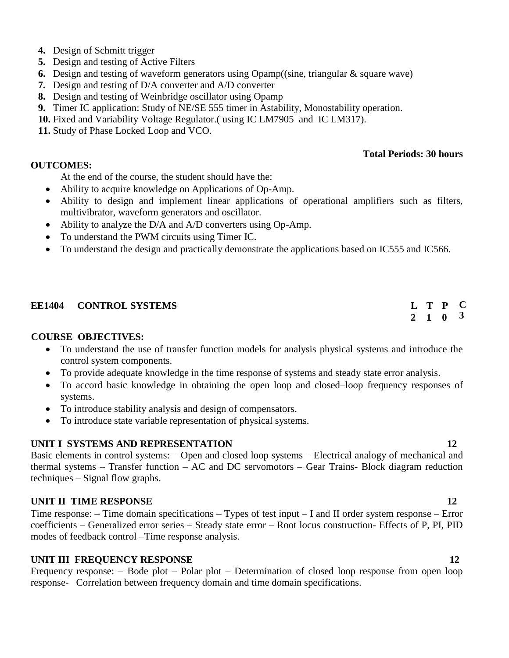- **4.** Design of Schmitt trigger
- **5.** Design and testing of Active Filters
- **6.** Design and testing of waveform generators using Opamp((sine, triangular & square wave)
- **7.** Design and testing of D/A converter and A/D converter
- **8.** Design and testing of Weinbridge oscillator using Opamp
- **9.** Timer IC application: Study of NE/SE 555 timer in Astability, Monostability operation.
- **10.** Fixed and Variability Voltage Regulator.( using IC LM7905 and IC LM317).
- **11.** Study of Phase Locked Loop and VCO.

### **OUTCOMES:**

- At the end of the course, the student should have the:
- Ability to acquire knowledge on Applications of Op-Amp.
- Ability to design and implement linear applications of operational amplifiers such as filters, multivibrator, waveform generators and oscillator.
- Ability to analyze the D/A and A/D converters using Op-Amp.
- To understand the PWM circuits using Timer IC.
- To understand the design and practically demonstrate the applications based on IC555 and IC566.

## **EE1404 CONTROL SYSTEMS**

### **COURSE OBJECTIVES:**

- To understand the use of transfer function models for analysis physical systems and introduce the control system components.
- To provide adequate knowledge in the time response of systems and steady state error analysis.
- To accord basic knowledge in obtaining the open loop and closed–loop frequency responses of systems.
- To introduce stability analysis and design of compensators.
- To introduce state variable representation of physical systems.

### **UNIT I SYSTEMS AND REPRESENTATION** 12

Basic elements in control systems: – Open and closed loop systems – Electrical analogy of mechanical and thermal systems – Transfer function – AC and DC servomotors – Gear Trains- Block diagram reduction techniques – Signal flow graphs.

# **UNIT II TIME RESPONSE** 12

Time response: – Time domain specifications – Types of test input – I and II order system response – Error coefficients – Generalized error series – Steady state error – Root locus construction- Effects of P, PI, PID modes of feedback control –Time response analysis.

# **UNIT III FREQUENCY RESPONSE** 12

Frequency response: – Bode plot – Polar plot – Determination of closed loop response from open loop response- Correlation between frequency domain and time domain specifications.

**Total Periods: 30 hours**

#### **2 1 0 T P C 3**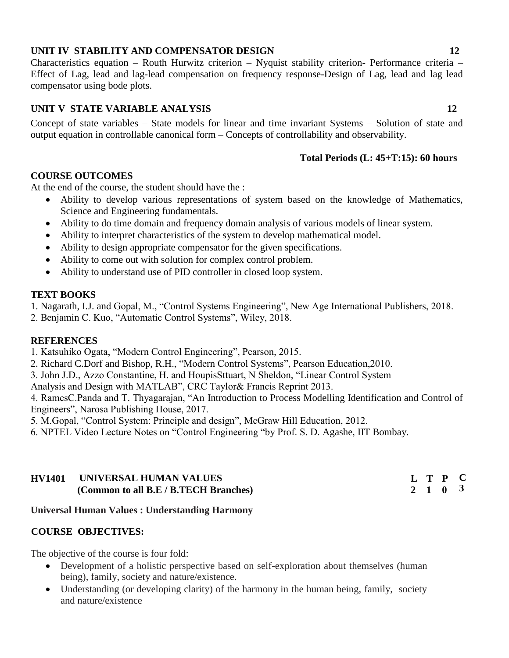# **UNIT IV STABILITY AND COMPENSATOR DESIGN 12**

Characteristics equation – Routh Hurwitz criterion – Nyquist stability criterion- Performance criteria – Effect of Lag, lead and lag-lead compensation on frequency response-Design of Lag, lead and lag lead compensator using bode plots.

# **UNIT V STATE VARIABLE ANALYSIS 12**

Concept of state variables – State models for linear and time invariant Systems – Solution of state and output equation in controllable canonical form – Concepts of controllability and observability.

### **Total Periods (L: 45+T:15): 60 hours**

### **COURSE OUTCOMES**

At the end of the course, the student should have the :

- Ability to develop various representations of system based on the knowledge of Mathematics, Science and Engineering fundamentals.
- Ability to do time domain and frequency domain analysis of various models of linear system.
- Ability to interpret characteristics of the system to develop mathematical model.
- Ability to design appropriate compensator for the given specifications.
- Ability to come out with solution for complex control problem.
- Ability to understand use of PID controller in closed loop system.

### **TEXT BOOKS**

1. Nagarath, I.J. and Gopal, M., "Control Systems Engineering", New Age International Publishers, 2018. 2. Benjamin C. Kuo, "Automatic Control Systems", Wiley, 2018.

### **REFERENCES**

1. Katsuhiko Ogata, "Modern Control Engineering", Pearson, 2015.

2. Richard C.Dorf and Bishop, R.H., "Modern Control Systems", Pearson Education,2010.

3. John J.D., Azzo Constantine, H. and HoupisSttuart, N Sheldon, "Linear Control System

Analysis and Design with MATLAB", CRC Taylor& Francis Reprint 2013.

4. RamesC.Panda and T. Thyagarajan, "An Introduction to Process Modelling Identification and Control of Engineers", Narosa Publishing House, 2017.

5. M.Gopal, "Control System: Principle and design", McGraw Hill Education, 2012.

6. NPTEL Video Lecture Notes on "Control Engineering "by Prof. S. D. Agashe, IIT Bombay.

# **HV1401 UNIVERSAL HUMAN VALUES (Common to all B.E / B.TECH Branches)**

### **Universal Human Values : Understanding Harmony**

### **COURSE OBJECTIVES:**

The objective of the course is four fold:

- Development of a holistic perspective based on self-exploration about themselves (human being), family, society and nature/existence.
- Understanding (or developing clarity) of the harmony in the human being, family, society and nature/existence

**L T P C 2 1 0 3**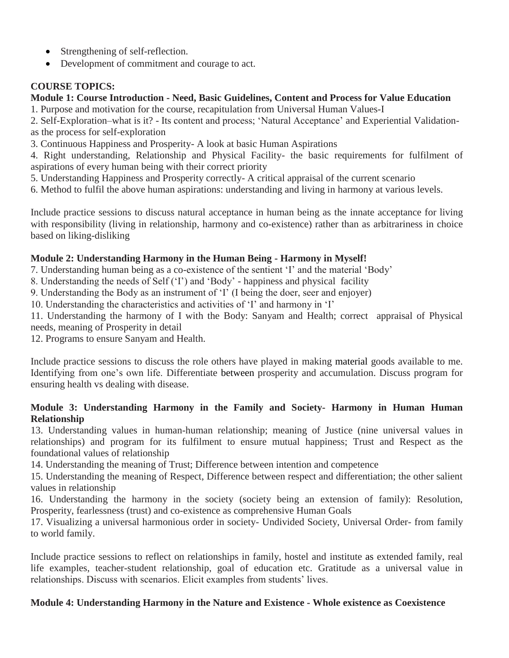- Strengthening of self-reflection.
- Development of commitment and courage to act.

# **COURSE TOPICS:**

# **Module 1: Course Introduction - Need, Basic Guidelines, Content and Process for Value Education**

1. Purpose and motivation for the course, recapitulation from Universal Human Values-I

2. Self-Exploration–what is it? - Its content and process; 'Natural Acceptance' and Experiential Validationas the process for self-exploration

3. Continuous Happiness and Prosperity- A look at basic Human Aspirations

4. Right understanding, Relationship and Physical Facility- the basic requirements for fulfilment of aspirations of every human being with their correct priority

5. Understanding Happiness and Prosperity correctly- A critical appraisal of the current scenario

6. Method to fulfil the above human aspirations: understanding and living in harmony at various levels.

Include practice sessions to discuss natural acceptance in human being as the innate acceptance for living with responsibility (living in relationship, harmony and co-existence) rather than as arbitrariness in choice based on liking-disliking

# **Module 2: Understanding Harmony in the Human Being - Harmony in Myself!**

7. Understanding human being as a co-existence of the sentient 'I' and the material 'Body'

8. Understanding the needs of Self ('I') and 'Body' - happiness and physical facility

9. Understanding the Body as an instrument of 'I' (I being the doer, seer and enjoyer)

10. Understanding the characteristics and activities of 'I' and harmony in 'I'

11. Understanding the harmony of I with the Body: Sanyam and Health; correct appraisal of Physical needs, meaning of Prosperity in detail

12. Programs to ensure Sanyam and Health.

Include practice sessions to discuss the role others have played in making material goods available to me. Identifying from one's own life. Differentiate between prosperity and accumulation. Discuss program for ensuring health vs dealing with disease.

# **Module 3: Understanding Harmony in the Family and Society- Harmony in Human Human Relationship**

13. Understanding values in human-human relationship; meaning of Justice (nine universal values in relationships) and program for its fulfilment to ensure mutual happiness; Trust and Respect as the foundational values of relationship

14. Understanding the meaning of Trust; Difference between intention and competence

15. Understanding the meaning of Respect, Difference between respect and differentiation; the other salient values in relationship

16. Understanding the harmony in the society (society being an extension of family): Resolution, Prosperity, fearlessness (trust) and co-existence as comprehensive Human Goals

17. Visualizing a universal harmonious order in society- Undivided Society, Universal Order- from family to world family.

Include practice sessions to reflect on relationships in family, hostel and institute as extended family, real life examples, teacher-student relationship, goal of education etc. Gratitude as a universal value in relationships. Discuss with scenarios. Elicit examples from students' lives.

# **Module 4: Understanding Harmony in the Nature and Existence - Whole existence as Coexistence**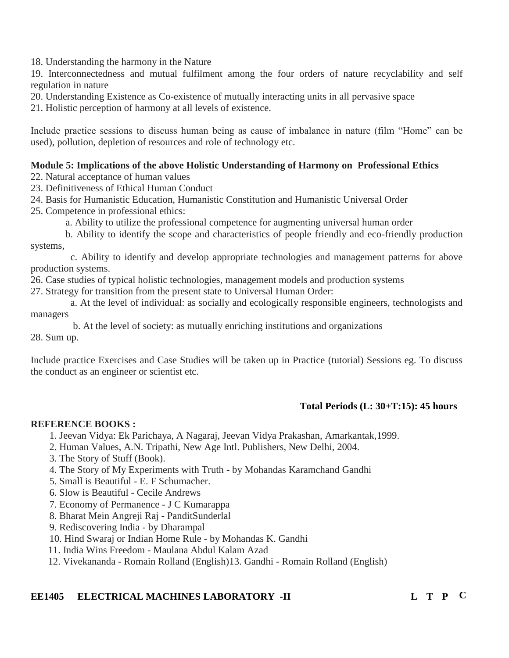18. Understanding the harmony in the Nature

19. Interconnectedness and mutual fulfilment among the four orders of nature recyclability and self regulation in nature

20. Understanding Existence as Co-existence of mutually interacting units in all pervasive space

21. Holistic perception of harmony at all levels of existence.

Include practice sessions to discuss human being as cause of imbalance in nature (film "Home" can be used), pollution, depletion of resources and role of technology etc.

# **Module 5: Implications of the above Holistic Understanding of Harmony on Professional Ethics**

22. Natural acceptance of human values

23. Definitiveness of Ethical Human Conduct

- 24. Basis for Humanistic Education, Humanistic Constitution and Humanistic Universal Order
- 25. Competence in professional ethics:

a. Ability to utilize the professional competence for augmenting universal human order

 b. Ability to identify the scope and characteristics of people friendly and eco-friendly production systems,

 c. Ability to identify and develop appropriate technologies and management patterns for above production systems.

26. Case studies of typical holistic technologies, management models and production systems

27. Strategy for transition from the present state to Universal Human Order:

 a. At the level of individual: as socially and ecologically responsible engineers, technologists and managers

b. At the level of society: as mutually enriching institutions and organizations

28. Sum up.

Include practice Exercises and Case Studies will be taken up in Practice (tutorial) Sessions eg. To discuss the conduct as an engineer or scientist etc.

# **Total Periods (L: 30+T:15): 45 hours**

# **REFERENCE BOOKS :**

- 1. Jeevan Vidya: Ek Parichaya, A Nagaraj, Jeevan Vidya Prakashan, Amarkantak,1999.
- 2. Human Values, A.N. Tripathi, New Age Intl. Publishers, New Delhi, 2004.
- 3. The Story of Stuff (Book).
- 4. The Story of My Experiments with Truth by Mohandas Karamchand Gandhi
- 5. Small is Beautiful E. F Schumacher.
- 6. Slow is Beautiful Cecile Andrews
- 7. Economy of Permanence J C Kumarappa
- 8. Bharat Mein Angreji Raj PanditSunderlal
- 9. Rediscovering India by Dharampal
- 10. Hind Swaraj or Indian Home Rule by Mohandas K. Gandhi
- 11. India Wins Freedom Maulana Abdul Kalam Azad
- 12. Vivekananda Romain Rolland (English)13. Gandhi Romain Rolland (English)

# **EE1405 ELECTRICAL MACHINES LABORATORY -II L T P C**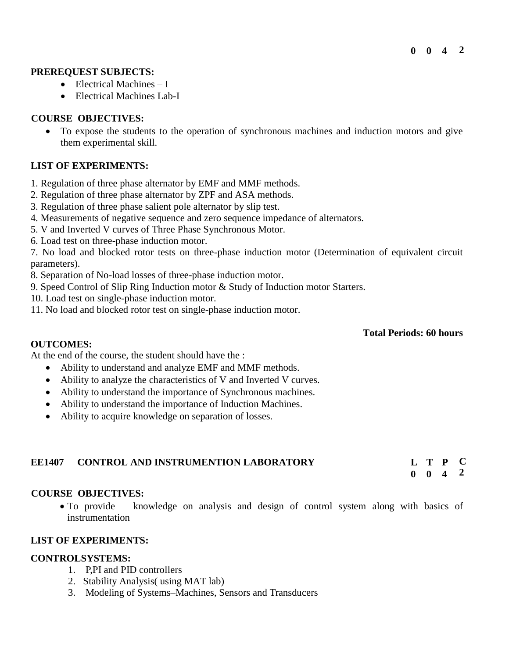### **PREREQUEST SUBJECTS:**

- $\bullet$  Electrical Machines I
- Electrical Machines Lab-I

# **COURSE OBJECTIVES:**

 To expose the students to the operation of synchronous machines and induction motors and give them experimental skill.

# **LIST OF EXPERIMENTS:**

- 1. Regulation of three phase alternator by EMF and MMF methods.
- 2. Regulation of three phase alternator by ZPF and ASA methods.
- 3. Regulation of three phase salient pole alternator by slip test.
- 4. Measurements of negative sequence and zero sequence impedance of alternators.
- 5. V and Inverted V curves of Three Phase Synchronous Motor.
- 6. Load test on three-phase induction motor.

7. No load and blocked rotor tests on three-phase induction motor (Determination of equivalent circuit parameters).

8. Separation of No-load losses of three-phase induction motor.

9. Speed Control of Slip Ring Induction motor & Study of Induction motor Starters.

- 10. Load test on single-phase induction motor.
- 11. No load and blocked rotor test on single-phase induction motor.

### **Total Periods: 60 hours**

At the end of the course, the student should have the :

- Ability to understand and analyze EMF and MMF methods.
- Ability to analyze the characteristics of V and Inverted V curves.
- Ability to understand the importance of Synchronous machines.
- Ability to understand the importance of Induction Machines.
- Ability to acquire knowledge on separation of losses.

| <b>EE1407</b> | <b>CONTROL AND INSTRUMENTION LABORATORY</b> |  | L T P C            |  |
|---------------|---------------------------------------------|--|--------------------|--|
|               |                                             |  | $0 \t 0 \t 4 \t 2$ |  |

#### **COURSE OBJECTIVES:**

**OUTCOMES:**

 To provide knowledge on analysis and design of control system along with basics of instrumentation

## **LIST OF EXPERIMENTS:**

### **CONTROLSYSTEMS:**

- 1. P,PI and PID controllers
- 2. Stability Analysis( using MAT lab)
- 3. Modeling of Systems–Machines, Sensors and Transducers